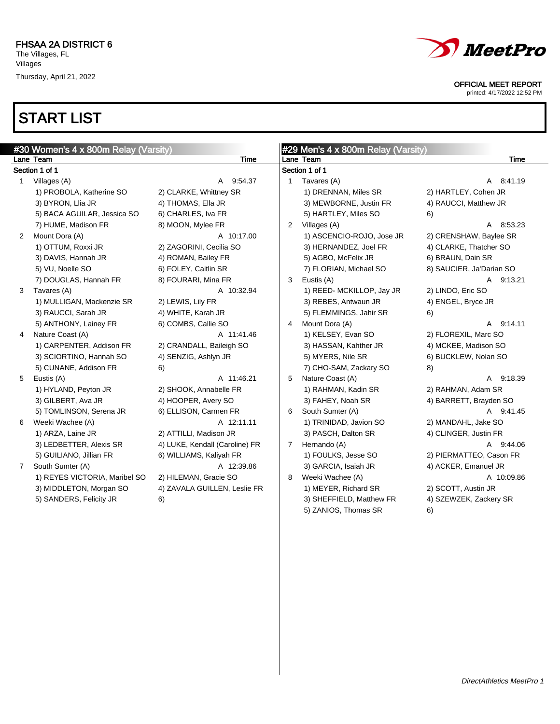# START LIST

|   | #30 Women's 4 x 800m Relay (Varsity) |                                |                | #29 Men's 4 x 800m Relay (Varsity) |                          |
|---|--------------------------------------|--------------------------------|----------------|------------------------------------|--------------------------|
|   | Lane Team                            | <b>Time</b>                    |                | Lane Team                          | <b>Time</b>              |
|   | Section 1 of 1                       |                                |                | Section 1 of 1                     |                          |
| 1 | Villages (A)                         | A 9:54.37                      | 1              | Tavares (A)                        | A 8:41.19                |
|   | 1) PROBOLA, Katherine SO             | 2) CLARKE, Whittney SR         |                | 1) DRENNAN, Miles SR               | 2) HARTLEY, Cohen JR     |
|   | 3) BYRON, Llia JR                    | 4) THOMAS, Ella JR             |                | 3) MEWBORNE, Justin FR             | 4) RAUCCI, Matthew JR    |
|   | 5) BACA AGUILAR, Jessica SO          | 6) CHARLES, Iva FR             |                | 5) HARTLEY, Miles SO               | 6)                       |
|   | 7) HUME, Madison FR                  | 8) MOON, Mylee FR              | $\mathbf{2}$   | Villages (A)                       | A 8:53.23                |
| 2 | Mount Dora (A)                       | A 10:17.00                     |                | 1) ASCENCIO-ROJO, Jose JR          | 2) CRENSHAW, Baylee SR   |
|   | 1) OTTUM, Roxxi JR                   | 2) ZAGORINI, Cecilia SO        |                | 3) HERNANDEZ, Joel FR              | 4) CLARKE, Thatcher SO   |
|   | 3) DAVIS, Hannah JR                  | 4) ROMAN, Bailey FR            |                | 5) AGBO, McFelix JR                | 6) BRAUN, Dain SR        |
|   | 5) VU, Noelle SO                     | 6) FOLEY, Caitlin SR           |                | 7) FLORIAN, Michael SO             | 8) SAUCIER, Ja'Darian SO |
|   | 7) DOUGLAS, Hannah FR                | 8) FOURARI, Mina FR            | 3              | Eustis (A)                         | A 9:13.21                |
| 3 | Tavares (A)                          | A 10:32.94                     |                | 1) REED- MCKILLOP, Jay JR          | 2) LINDO, Eric SO        |
|   | 1) MULLIGAN, Mackenzie SR            | 2) LEWIS, Lily FR              |                | 3) REBES, Antwaun JR               | 4) ENGEL, Bryce JR       |
|   | 3) RAUCCI, Sarah JR                  | 4) WHITE, Karah JR             |                | 5) FLEMMINGS, Jahir SR             | 6)                       |
|   | 5) ANTHONY, Lainey FR                | 6) COMBS, Callie SO            | 4              | Mount Dora (A)                     | A 9:14.11                |
| 4 | Nature Coast (A)                     | A 11:41.46                     |                | 1) KELSEY, Evan SO                 | 2) FLOREXIL, Marc SO     |
|   | 1) CARPENTER, Addison FR             | 2) CRANDALL, Baileigh SO       |                | 3) HASSAN, Kahther JR              | 4) MCKEE, Madison SO     |
|   | 3) SCIORTINO, Hannah SO              | 4) SENZIG, Ashlyn JR           |                | 5) MYERS, Nile SR                  | 6) BUCKLEW, Nolan SO     |
|   | 5) CUNANE, Addison FR                | 6)                             |                | 7) CHO-SAM, Zackary SO             | 8)                       |
| 5 | Eustis (A)                           | A 11:46.21                     | 5              | Nature Coast (A)                   | A 9:18.39                |
|   | 1) HYLAND, Peyton JR                 | 2) SHOOK, Annabelle FR         |                | 1) RAHMAN, Kadin SR                | 2) RAHMAN, Adam SR       |
|   | 3) GILBERT, Ava JR                   | 4) HOOPER, Avery SO            |                | 3) FAHEY, Noah SR                  | 4) BARRETT, Brayden SO   |
|   | 5) TOMLINSON, Serena JR              | 6) ELLISON, Carmen FR          | 6              | South Sumter (A)                   | A 9:41.45                |
| 6 | Weeki Wachee (A)                     | A 12:11.11                     |                | 1) TRINIDAD, Javion SO             | 2) MANDAHL, Jake SO      |
|   | 1) ARZA, Laine JR                    | 2) ATTILLI, Madison JR         |                | 3) PASCH, Dalton SR                | 4) CLINGER, Justin FR    |
|   | 3) LEDBETTER, Alexis SR              | 4) LUKE, Kendall (Caroline) FR | $\overline{7}$ | Hernando (A)                       | A 9:44.06                |
|   | 5) GUILIANO, Jillian FR              | 6) WILLIAMS, Kaliyah FR        |                | 1) FOULKS, Jesse SO                | 2) PIERMATTEO, Cason FR  |
|   | 7 South Sumter (A)                   | A 12:39.86                     |                | 3) GARCIA, Isaiah JR               | 4) ACKER, Emanuel JR     |
|   | 1) REYES VICTORIA, Maribel SO        | 2) HILEMAN, Gracie SO          | 8              | Weeki Wachee (A)                   | A 10:09.86               |
|   | 3) MIDDLETON, Morgan SO              | 4) ZAVALA GUILLEN, Leslie FR   |                | 1) MEYER, Richard SR               | 2) SCOTT, Austin JR      |
|   | 5) SANDERS, Felicity JR              | 6)                             |                | 3) SHEFFIELD, Matthew FR           | 4) SZEWZEK, Zackery SR   |
|   |                                      |                                |                | 5) ZANIOS, Thomas SR               | 6)                       |
|   |                                      |                                |                |                                    |                          |



OFFICIAL MEET REPORT

printed: 4/17/2022 12:52 PM

 $\overline{\phantom{a}}$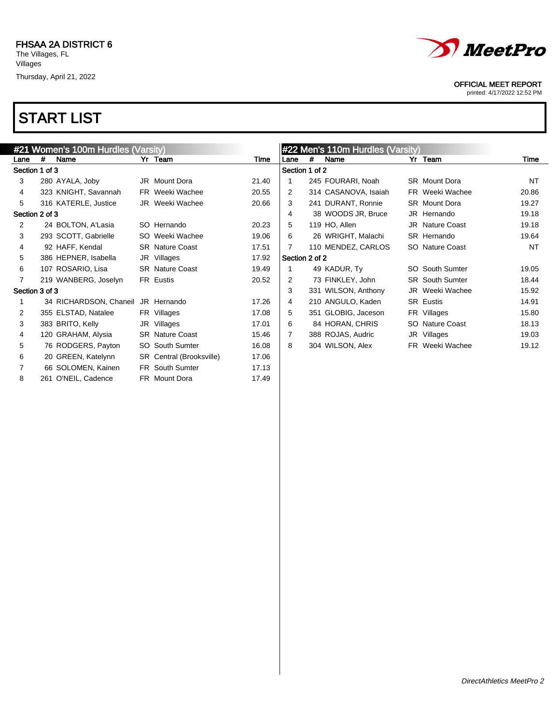

#### OFFICIAL MEET REPORT

printed: 4/17/2022 12:52 PM

|                |   | #21 Women's 100m Hurdles (Varsity) |                          |       |                |   | #22 Men's 110m Hurdles (Varsity) |                        |           |
|----------------|---|------------------------------------|--------------------------|-------|----------------|---|----------------------------------|------------------------|-----------|
| Lane           | # | Name                               | Yr Team                  | Time  | Lane           | # | Name                             | Yr Team                | Time      |
| Section 1 of 3 |   |                                    |                          |       | Section 1 of 2 |   |                                  |                        |           |
| 3              |   | 280 AYALA, Joby                    | JR Mount Dora            | 21.40 |                |   | 245 FOURARI, Noah                | <b>SR</b> Mount Dora   | <b>NT</b> |
| 4              |   | 323 KNIGHT, Savannah               | <b>FR</b> Weeki Wachee   | 20.55 | 2              |   | 314 CASANOVA, Isaiah             | FR Weeki Wachee        | 20.86     |
| 5              |   | 316 KATERLE, Justice               | JR Weeki Wachee          | 20.66 | 3              |   | 241 DURANT, Ronnie               | <b>SR</b> Mount Dora   | 19.27     |
| Section 2 of 3 |   |                                    |                          |       | 4              |   | 38 WOODS JR, Bruce               | JR Hernando            | 19.18     |
| 2              |   | 24 BOLTON, A'Lasia                 | SO Hernando              | 20.23 | 5              |   | 119 HO, Allen                    | <b>JR</b> Nature Coast | 19.18     |
| 3              |   | 293 SCOTT, Gabrielle               | SO Weeki Wachee          | 19.06 | 6              |   | 26 WRIGHT, Malachi               | SR Hernando            | 19.64     |
| 4              |   | 92 HAFF, Kendal                    | <b>SR Nature Coast</b>   | 17.51 |                |   | 110 MENDEZ, CARLOS               | SO Nature Coast        | <b>NT</b> |
| 5              |   | 386 HEPNER, Isabella               | JR Villages              | 17.92 | Section 2 of 2 |   |                                  |                        |           |
| 6              |   | 107 ROSARIO, Lisa                  | <b>SR</b> Nature Coast   | 19.49 |                |   | 49 KADUR, Ty                     | SO South Sumter        | 19.05     |
| $\overline{7}$ |   | 219 WANBERG, Joselyn               | FR Eustis                | 20.52 | 2              |   | 73 FINKLEY, John                 | <b>SR</b> South Sumter | 18.44     |
| Section 3 of 3 |   |                                    |                          |       | 3              |   | 331 WILSON, Anthony              | JR Weeki Wachee        | 15.92     |
| 1              |   | 34 RICHARDSON, Chaneil             | JR Hernando              | 17.26 | 4              |   | 210 ANGULO, Kaden                | SR Eustis              | 14.91     |
| 2              |   | 355 ELSTAD, Natalee                | FR Villages              | 17.08 | 5              |   | 351 GLOBIG, Jaceson              | FR Villages            | 15.80     |
| 3              |   | 383 BRITO, Kelly                   | JR Villages              | 17.01 | 6              |   | 84 HORAN, CHRIS                  | SO Nature Coast        | 18.13     |
| 4              |   | 120 GRAHAM, Alysia                 | <b>SR</b> Nature Coast   | 15.46 | $\overline{7}$ |   | 388 ROJAS, Audric                | JR Villages            | 19.03     |
| 5              |   | 76 RODGERS, Payton                 | <b>SO</b> South Sumter   | 16.08 | 8              |   | 304 WILSON, Alex                 | FR Weeki Wachee        | 19.12     |
| 6              |   | 20 GREEN, Katelynn                 | SR Central (Brooksville) | 17.06 |                |   |                                  |                        |           |
| 7              |   | 66 SOLOMEN, Kainen                 | FR South Sumter          | 17.13 |                |   |                                  |                        |           |
| 8              |   | 261 O'NEIL, Cadence                | <b>FR</b> Mount Dora     | 17.49 |                |   |                                  |                        |           |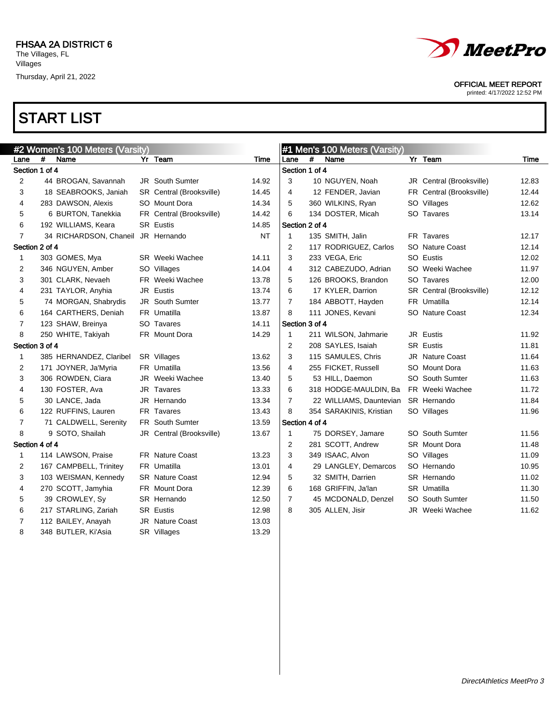



printed: 4/17/2022 12:52 PM

|                | #2 Women's 100 Meters (Varsity) |                                    |  |                          |           | #1 Men's 100 Meters (Varsity) |   |                         |  |                          |       |
|----------------|---------------------------------|------------------------------------|--|--------------------------|-----------|-------------------------------|---|-------------------------|--|--------------------------|-------|
| Lane           | #                               | Name                               |  | Yr Team                  | Time      | Lane                          | # | Name                    |  | Yr Team                  | Time  |
| Section 1 of 4 |                                 |                                    |  |                          |           | Section 1 of 4                |   |                         |  |                          |       |
| 2              |                                 | 44 BROGAN, Savannah                |  | <b>JR</b> South Sumter   | 14.92     | 3                             |   | 10 NGUYEN, Noah         |  | JR Central (Brooksville) | 12.83 |
| 3              |                                 | 18 SEABROOKS, Janiah               |  | SR Central (Brooksville) | 14.45     | 4                             |   | 12 FENDER, Javian       |  | FR Central (Brooksville) | 12.44 |
| 4              |                                 | 283 DAWSON, Alexis                 |  | SO Mount Dora            | 14.34     | 5                             |   | 360 WILKINS, Ryan       |  | SO Villages              | 12.62 |
| 5              |                                 | 6 BURTON, Tanekkia                 |  | FR Central (Brooksville) | 14.42     | 6                             |   | 134 DOSTER, Micah       |  | SO Tavares               | 13.14 |
| 6              |                                 | 192 WILLIAMS, Keara                |  | <b>SR Eustis</b>         | 14.85     | Section 2 of 4                |   |                         |  |                          |       |
| $\overline{7}$ |                                 | 34 RICHARDSON, Chaneil JR Hernando |  |                          | <b>NT</b> | 1                             |   | 135 SMITH, Jalin        |  | FR Tavares               | 12.17 |
| Section 2 of 4 |                                 |                                    |  |                          |           | 2                             |   | 117 RODRIGUEZ, Carlos   |  | <b>SO</b> Nature Coast   | 12.14 |
| $\mathbf{1}$   |                                 | 303 GOMES, Mya                     |  | <b>SR</b> Weeki Wachee   | 14.11     | 3                             |   | 233 VEGA, Eric          |  | SO Eustis                | 12.02 |
| 2              |                                 | 346 NGUYEN, Amber                  |  | SO Villages              | 14.04     | 4                             |   | 312 CABEZUDO, Adrian    |  | SO Weeki Wachee          | 11.97 |
| 3              |                                 | 301 CLARK, Nevaeh                  |  | FR Weeki Wachee          | 13.78     | 5                             |   | 126 BROOKS, Brandon     |  | SO Tavares               | 12.00 |
| 4              |                                 | 231 TAYLOR, Anyhia                 |  | JR Eustis                | 13.74     | 6                             |   | 17 KYLER, Darrion       |  | SR Central (Brooksville) | 12.12 |
| 5              |                                 | 74 MORGAN, Shabrydis               |  | <b>JR</b> South Sumter   | 13.77     | 7                             |   | 184 ABBOTT, Hayden      |  | FR Umatilla              | 12.14 |
| 6              |                                 | 164 CARTHERS, Deniah               |  | FR Umatilla              | 13.87     | 8                             |   | 111 JONES, Kevani       |  | <b>SO</b> Nature Coast   | 12.34 |
| $\overline{7}$ |                                 | 123 SHAW, Breinya                  |  | SO Tavares               | 14.11     | Section 3 of 4                |   |                         |  |                          |       |
| 8              |                                 | 250 WHITE, Takiyah                 |  | FR Mount Dora            | 14.29     | $\mathbf{1}$                  |   | 211 WILSON, Jahmarie    |  | JR Eustis                | 11.92 |
| Section 3 of 4 |                                 |                                    |  |                          |           | $\overline{2}$                |   | 208 SAYLES, Isaiah      |  | <b>SR</b> Eustis         | 11.81 |
| $\mathbf{1}$   |                                 | 385 HERNANDEZ, Claribel            |  | SR Villages              | 13.62     | 3                             |   | 115 SAMULES, Chris      |  | <b>JR</b> Nature Coast   | 11.64 |
| 2              |                                 | 171 JOYNER, Ja'Myria               |  | FR Umatilla              | 13.56     | 4                             |   | 255 FICKET, Russell     |  | SO Mount Dora            | 11.63 |
| 3              |                                 | 306 ROWDEN, Ciara                  |  | JR Weeki Wachee          | 13.40     | 5                             |   | 53 HILL, Daemon         |  | SO South Sumter          | 11.63 |
| 4              |                                 | 130 FOSTER, Ava                    |  | JR Tavares               | 13.33     | 6                             |   | 318 HODGE-MAULDIN, Ba   |  | FR Weeki Wachee          | 11.72 |
| 5              |                                 | 30 LANCE, Jada                     |  | JR Hernando              | 13.34     | 7                             |   | 22 WILLIAMS, Dauntevian |  | SR Hernando              | 11.84 |
| 6              |                                 | 122 RUFFINS, Lauren                |  | FR Tavares               | 13.43     | 8                             |   | 354 SARAKINIS, Kristian |  | SO Villages              | 11.96 |
| $\overline{7}$ |                                 | 71 CALDWELL, Serenity              |  | <b>FR</b> South Sumter   | 13.59     | Section 4 of 4                |   |                         |  |                          |       |
| 8              |                                 | 9 SOTO, Shailah                    |  | JR Central (Brooksville) | 13.67     | 1                             |   | 75 DORSEY, Jamare       |  | SO South Sumter          | 11.56 |
| Section 4 of 4 |                                 |                                    |  |                          |           | 2                             |   | 281 SCOTT, Andrew       |  | <b>SR</b> Mount Dora     | 11.48 |
| $\mathbf{1}$   |                                 | 114 LAWSON, Praise                 |  | <b>FR</b> Nature Coast   | 13.23     | 3                             |   | 349 ISAAC, Alvon        |  | SO Villages              | 11.09 |
| 2              |                                 | 167 CAMPBELL, Trinitey             |  | FR Umatilla              | 13.01     | 4                             |   | 29 LANGLEY, Demarcos    |  | SO Hernando              | 10.95 |
| 3              |                                 | 103 WEISMAN, Kennedy               |  | <b>SR</b> Nature Coast   | 12.94     | 5                             |   | 32 SMITH, Darrien       |  | SR Hernando              | 11.02 |
| 4              |                                 | 270 SCOTT, Jamyhia                 |  | FR Mount Dora            | 12.39     | 6                             |   | 168 GRIFFIN, Ja'lan     |  | SR Umatilla              | 11.30 |
| 5              |                                 | 39 CROWLEY, Sy                     |  | SR Hernando              | 12.50     | $\overline{7}$                |   | 45 MCDONALD, Denzel     |  | <b>SO</b> South Sumter   | 11.50 |
| 6              |                                 | 217 STARLING, Zariah               |  | <b>SR Eustis</b>         | 12.98     | 8                             |   | 305 ALLEN, Jisir        |  | JR Weeki Wachee          | 11.62 |
| 7              |                                 | 112 BAILEY, Anayah                 |  | JR Nature Coast          | 13.03     |                               |   |                         |  |                          |       |
| 8              |                                 | 348 BUTLER, Ki'Asia                |  | SR Villages              | 13.29     |                               |   |                         |  |                          |       |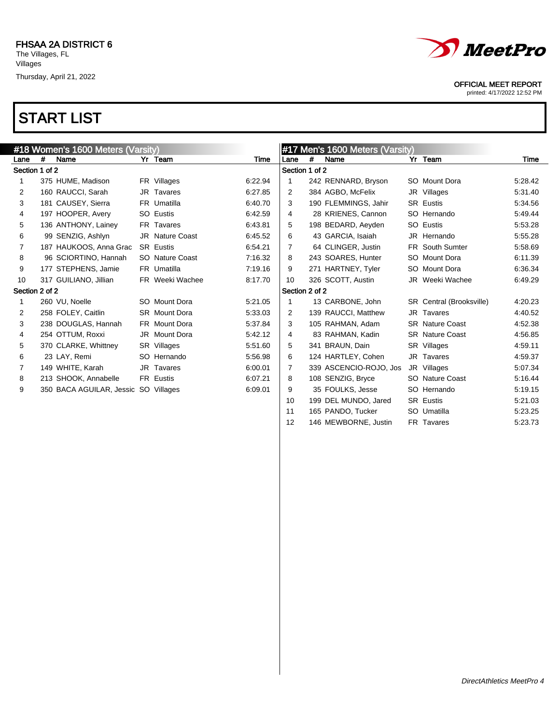

printed: 4/17/2022 12:52 PM

|                |   | #18 Women's 1600 Meters (Varsity)    |                        |         |                |   | #17 Men's 1600 Meters (Varsity) |                          |         |
|----------------|---|--------------------------------------|------------------------|---------|----------------|---|---------------------------------|--------------------------|---------|
| Lane           | # | Name                                 | Yr Team                | Time    | Lane           | # | Name                            | Yr Team                  | Time    |
| Section 1 of 2 |   |                                      |                        |         | Section 1 of 2 |   |                                 |                          |         |
| 1              |   | 375 HUME, Madison                    | FR Villages            | 6:22.94 | 1              |   | 242 RENNARD, Bryson             | SO Mount Dora            | 5:28.42 |
| 2              |   | 160 RAUCCI, Sarah                    | JR Tavares             | 6:27.85 | 2              |   | 384 AGBO, McFelix               | JR Villages              | 5:31.40 |
| 3              |   | 181 CAUSEY, Sierra                   | FR Umatilla            | 6:40.70 | 3              |   | 190 FLEMMINGS, Jahir            | <b>SR</b> Eustis         | 5.34.56 |
| 4              |   | 197 HOOPER, Avery                    | SO Eustis              | 6:42.59 | 4              |   | 28 KRIENES, Cannon              | SO Hernando              | 5:49.44 |
| 5              |   | 136 ANTHONY, Lainey                  | FR Tavares             | 6:43.81 | 5              |   | 198 BEDARD, Aeyden              | SO Eustis                | 5:53.28 |
| 6              |   | 99 SENZIG, Ashlyn                    | <b>JR</b> Nature Coast | 6:45.52 | 6              |   | 43 GARCIA, Isaiah               | JR Hernando              | 5:55.28 |
| 7              |   | 187 HAUKOOS, Anna Grac               | <b>SR Eustis</b>       | 6:54.21 | 7              |   | 64 CLINGER, Justin              | <b>FR</b> South Sumter   | 5:58.69 |
| 8              |   | 96 SCIORTINO, Hannah                 | SO Nature Coast        | 7:16.32 | 8              |   | 243 SOARES, Hunter              | SO Mount Dora            | 6:11.39 |
| 9              |   | 177 STEPHENS, Jamie                  | FR Umatilla            | 7:19.16 | 9              |   | 271 HARTNEY, Tyler              | SO Mount Dora            | 6:36.34 |
| 10             |   | 317 GUILIANO, Jillian                | FR Weeki Wachee        | 8:17.70 | 10             |   | 326 SCOTT, Austin               | JR Weeki Wachee          | 6:49.29 |
| Section 2 of 2 |   |                                      |                        |         | Section 2 of 2 |   |                                 |                          |         |
| 1              |   | 260 VU, Noelle                       | SO Mount Dora          | 5:21.05 | 1              |   | 13 CARBONE, John                | SR Central (Brooksville) | 4:20.23 |
| 2              |   | 258 FOLEY, Caitlin                   | <b>SR</b> Mount Dora   | 5:33.03 | 2              |   | 139 RAUCCI, Matthew             | JR Tavares               | 4:40.52 |
| 3              |   | 238 DOUGLAS, Hannah                  | FR Mount Dora          | 5:37.84 | 3              |   | 105 RAHMAN, Adam                | <b>SR</b> Nature Coast   | 4:52.38 |
| 4              |   | 254 OTTUM, Roxxi                     | JR Mount Dora          | 5:42.12 | 4              |   | 83 RAHMAN, Kadin                | <b>SR</b> Nature Coast   | 4:56.85 |
| 5              |   | 370 CLARKE, Whittney                 | SR Villages            | 5:51.60 | 5              |   | 341 BRAUN, Dain                 | SR Villages              | 4:59.11 |
| 6              |   | 23 LAY, Remi                         | SO Hernando            | 5:56.98 | 6              |   | 124 HARTLEY, Cohen              | JR Tavares               | 4:59.37 |
| 7              |   | 149 WHITE, Karah                     | JR Tavares             | 6:00.01 | $\overline{7}$ |   | 339 ASCENCIO-ROJO, Jos          | JR Villages              | 5:07.34 |
| 8              |   | 213 SHOOK, Annabelle                 | <b>FR Eustis</b>       | 6:07.21 | 8              |   | 108 SENZIG, Bryce               | SO Nature Coast          | 5:16.44 |
| 9              |   | 350 BACA AGUILAR, Jessic SO Villages |                        | 6:09.01 | 9              |   | 35 FOULKS, Jesse                | SO Hernando              | 5:19.15 |
|                |   |                                      |                        |         | 10             |   | 199 DEL MUNDO, Jared            | <b>SR</b> Eustis         | 5:21.03 |
|                |   |                                      |                        |         | 11             |   | 165 PANDO, Tucker               | SO Umatilla              | 5:23.25 |
|                |   |                                      |                        |         | 12             |   | 146 MEWBORNE, Justin            | FR Tavares               | 5:23.73 |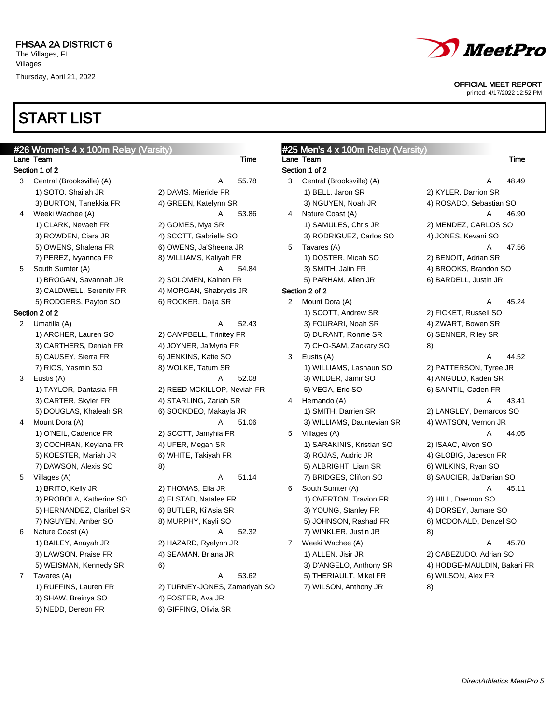## START LIST

5) NEDD, Dereon FR 6) GIFFING, Olivia SR



OFFICIAL MEET REPORT

printed: 4/17/2022 12:52 PM

|              | #26 Women's 4 x 100m Relay (Varsity) |                               |                | #25 Men's 4 x 100m Relay (Varsity) |                             |       |
|--------------|--------------------------------------|-------------------------------|----------------|------------------------------------|-----------------------------|-------|
|              | Lane Team                            | Time                          |                | Lane Team                          |                             | Time  |
|              | Section 1 of 2                       |                               |                | Section 1 of 2                     |                             |       |
| 3            | Central (Brooksville) (A)            | 55.78<br>Α                    | 3              | Central (Brooksville) (A)          | Α                           | 48.49 |
|              | 1) SOTO, Shailah JR                  | 2) DAVIS, Miericle FR         |                | 1) BELL, Jaron SR                  | 2) KYLER, Darrion SR        |       |
|              | 3) BURTON, Tanekkia FR               | 4) GREEN, Katelynn SR         |                | 3) NGUYEN, Noah JR                 | 4) ROSADO, Sebastian SO     |       |
| 4            | Weeki Wachee (A)                     | 53.86                         | 4              | Nature Coast (A)                   | A                           | 46.90 |
|              | 1) CLARK, Nevaeh FR                  | 2) GOMES, Mya SR              |                | 1) SAMULES, Chris JR               | 2) MENDEZ, CARLOS SO        |       |
|              | 3) ROWDEN, Ciara JR                  | 4) SCOTT, Gabrielle SO        |                | 3) RODRIGUEZ, Carlos SO            | 4) JONES, Kevani SO         |       |
|              | 5) OWENS, Shalena FR                 | 6) OWENS, Ja'Sheena JR        | 5              | Tavares (A)                        | Α                           | 47.56 |
|              | 7) PEREZ, Ivyannca FR                | 8) WILLIAMS, Kaliyah FR       |                | 1) DOSTER, Micah SO                | 2) BENOIT, Adrian SR        |       |
| 5            | South Sumter (A)                     | 54.84<br>A                    |                | 3) SMITH, Jalin FR                 | 4) BROOKS, Brandon SO       |       |
|              | 1) BROGAN, Savannah JR               | 2) SOLOMEN, Kainen FR         |                | 5) PARHAM, Allen JR                | 6) BARDELL, Justin JR       |       |
|              | 3) CALDWELL, Serenity FR             | 4) MORGAN, Shabrydis JR       |                | Section 2 of 2                     |                             |       |
|              | 5) RODGERS, Payton SO                | 6) ROCKER, Daija SR           | $\overline{2}$ | Mount Dora (A)                     | Α                           | 45.24 |
|              | Section 2 of 2                       |                               |                | 1) SCOTT, Andrew SR                | 2) FICKET, Russell SO       |       |
|              | 2 Umatilla (A)                       | 52.43<br>A                    |                | 3) FOURARI, Noah SR                | 4) ZWART, Bowen SR          |       |
|              | 1) ARCHER, Lauren SO                 | 2) CAMPBELL, Trinitey FR      |                | 5) DURANT, Ronnie SR               | 6) SENNER, Riley SR         |       |
|              | 3) CARTHERS, Deniah FR               | 4) JOYNER, Ja'Myria FR        |                | 7) CHO-SAM, Zackary SO             | 8)                          |       |
|              | 5) CAUSEY, Sierra FR                 | 6) JENKINS, Katie SO          | 3              | Eustis (A)                         | A                           | 44.52 |
|              | 7) RIOS, Yasmin SO                   | 8) WOLKE, Tatum SR            |                | 1) WILLIAMS, Lashaun SO            | 2) PATTERSON, Tyree JR      |       |
| 3            | Eustis (A)                           | 52.08<br>Α                    |                | 3) WILDER, Jamir SO                | 4) ANGULO, Kaden SR         |       |
|              | 1) TAYLOR, Dantasia FR               | 2) REED MCKILLOP, Neviah FR   |                | 5) VEGA, Eric SO                   | 6) SAINTIL, Caden FR        |       |
|              | 3) CARTER, Skyler FR                 | 4) STARLING, Zariah SR        | 4              | Hernando (A)                       | A                           | 43.41 |
|              | 5) DOUGLAS, Khaleah SR               | 6) SOOKDEO, Makayla JR        |                | 1) SMITH, Darrien SR               | 2) LANGLEY, Demarcos SO     |       |
| 4            | Mount Dora (A)                       | A<br>51.06                    |                | 3) WILLIAMS, Dauntevian SR         | 4) WATSON, Vernon JR        |       |
|              | 1) O'NEIL, Cadence FR                | 2) SCOTT, Jamyhia FR          | 5              | Villages (A)                       | A                           | 44.05 |
|              | 3) COCHRAN, Keylana FR               | 4) UFER, Megan SR             |                | 1) SARAKINIS, Kristian SO          | 2) ISAAC, Alvon SO          |       |
|              | 5) KOESTER, Mariah JR                | 6) WHITE, Takiyah FR          |                | 3) ROJAS, Audric JR                | 4) GLOBIG, Jaceson FR       |       |
|              | 7) DAWSON, Alexis SO                 | 8)                            |                | 5) ALBRIGHT, Liam SR               | 6) WILKINS, Ryan SO         |       |
| 5            | Villages (A)                         | 51.14<br>Α                    |                | 7) BRIDGES, Clifton SO             | 8) SAUCIER, Ja'Darian SO    |       |
|              | 1) BRITO, Kelly JR                   | 2) THOMAS, Ella JR            | 6              | South Sumter (A)                   | Α                           | 45.11 |
|              | 3) PROBOLA, Katherine SO             | 4) ELSTAD, Natalee FR         |                | 1) OVERTON, Travion FR             | 2) HILL, Daemon SO          |       |
|              | 5) HERNANDEZ, Claribel SR            | 6) BUTLER, Ki'Asia SR         |                | 3) YOUNG, Stanley FR               | 4) DORSEY, Jamare SO        |       |
|              | 7) NGUYEN, Amber SO                  | 8) MURPHY, Kayli SO           |                | 5) JOHNSON, Rashad FR              | 6) MCDONALD, Denzel SO      |       |
| 6            | Nature Coast (A)                     | 52.32<br>A                    |                | 7) WINKLER, Justin JR              | 8)                          |       |
|              | 1) BAILEY, Anayah JR                 | 2) HAZARD, Ryelynn JR         | $\overline{7}$ | Weeki Wachee (A)                   | Α                           | 45.70 |
|              | 3) LAWSON, Praise FR                 | 4) SEAMAN, Briana JR          |                | 1) ALLEN, Jisir JR                 | 2) CABEZUDO, Adrian SO      |       |
|              | 5) WEISMAN, Kennedy SR               | 6)                            |                | 3) D'ANGELO, Anthony SR            | 4) HODGE-MAULDIN, Bakari FR |       |
| $\mathbf{7}$ | Tavares (A)                          | 53.62<br>Α                    |                | 5) THERIAULT, Mikel FR             | 6) WILSON, Alex FR          |       |
|              | 1) RUFFINS, Lauren FR                | 2) TURNEY-JONES, Zamariyah SO |                | 7) WILSON, Anthony JR              | 8)                          |       |
|              | 3) SHAW, Breinya SO                  | 4) FOSTER, Ava JR             |                |                                    |                             |       |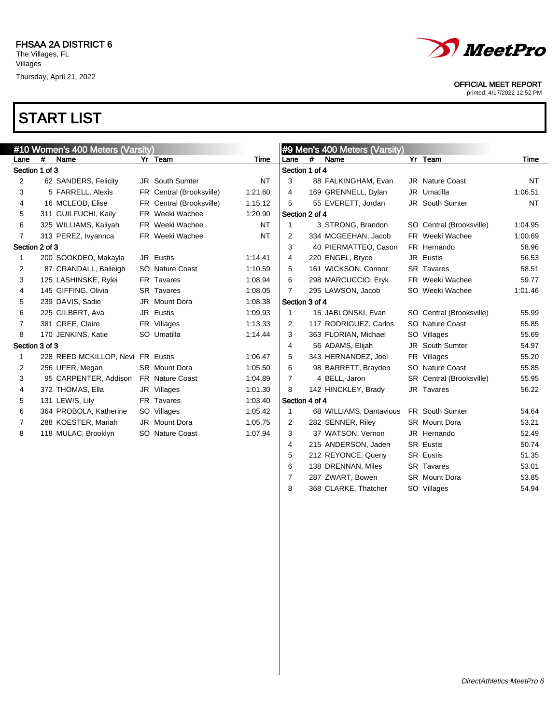

printed: 4/17/2022 12:52 PM

### START LIST

|                |   | #10 Women's 400 Meters (Varsity)  |                          |           |                |   | #9 Men's 400 Meters (Varsity) |                          |           |
|----------------|---|-----------------------------------|--------------------------|-----------|----------------|---|-------------------------------|--------------------------|-----------|
| Lane           | # | Name                              | Yr Team                  | Time      | Lane           | # | Name                          | Yr Team                  | Time      |
| Section 1 of 3 |   |                                   |                          |           | Section 1 of 4 |   |                               |                          |           |
| 2              |   | 62 SANDERS, Felicity              | <b>JR</b> South Sumter   | <b>NT</b> | 3              |   | 88 FALKINGHAM, Evan           | <b>JR</b> Nature Coast   | <b>NT</b> |
| 3              |   | 5 FARRELL, Alexis                 | FR Central (Brooksville) | 1:21.60   | 4              |   | 169 GRENNELL, Dylan           | JR Umatilla              | 1:06.51   |
| 4              |   | 16 MCLEOD, Elise                  | FR Central (Brooksville) | 1:15.12   | 5              |   | 55 EVERETT, Jordan            | <b>JR</b> South Sumter   | <b>NT</b> |
| 5              |   | 311 GUILFUCHI, Kaily              | FR Weeki Wachee          | 1:20.90   | Section 2 of 4 |   |                               |                          |           |
| 6              |   | 325 WILLIAMS, Kaliyah             | FR Weeki Wachee          | <b>NT</b> | $\mathbf{1}$   |   | 3 STRONG, Brandon             | SO Central (Brooksville) | 1:04.95   |
| 7              |   | 313 PEREZ, Ivyannca               | FR Weeki Wachee          | <b>NT</b> | $\overline{2}$ |   | 334 MCGEEHAN, Jacob           | FR Weeki Wachee          | 1:00.69   |
| Section 2 of 3 |   |                                   |                          |           | 3              |   | 40 PIERMATTEO, Cason          | FR Hernando              | 58.96     |
| 1              |   | 200 SOOKDEO, Makayla              | JR Eustis                | 1:14.41   | 4              |   | 220 ENGEL, Bryce              | JR Eustis                | 56.53     |
| 2              |   | 87 CRANDALL, Baileigh             | SO Nature Coast          | 1:10.59   | 5              |   | 161 WICKSON, Connor           | <b>SR</b> Tavares        | 58.51     |
| 3              |   | 125 LASHINSKE, Rylei              | FR Tavares               | 1:08.94   | 6              |   | 298 MARCUCCIO, Eryk           | FR Weeki Wachee          | 59.77     |
| 4              |   | 145 GIFFING, Olivia               | <b>SR</b> Tavares        | 1:08.05   | $\overline{7}$ |   | 295 LAWSON, Jacob             | SO Weeki Wachee          | 1:01.46   |
| 5              |   | 239 DAVIS, Sadie                  | JR Mount Dora            | 1:08.38   | Section 3 of 4 |   |                               |                          |           |
| 6              |   | 225 GILBERT, Ava                  | JR Eustis                | 1:09.93   | 1              |   | 15 JABLONSKI, Evan            | SO Central (Brooksville) | 55.99     |
| 7              |   | 381 CREE, Claire                  | FR Villages              | 1:13.33   | $\overline{2}$ |   | 117 RODRIGUEZ, Carlos         | SO Nature Coast          | 55.85     |
| 8              |   | 170 JENKINS, Katie                | SO Umatilla              | 1:14.44   | 3              |   | 363 FLORIAN, Michael          | SO Villages              | 55.69     |
| Section 3 of 3 |   |                                   |                          |           | 4              |   | 56 ADAMS, Elijah              | <b>JR</b> South Sumter   | 54.97     |
| 1              |   | 228 REED MCKILLOP, Nevi FR Eustis |                          | 1:06.47   | 5              |   | 343 HERNANDEZ, Joel           | FR Villages              | 55.20     |
| 2              |   | 256 UFER, Megan                   | <b>SR</b> Mount Dora     | 1:05.50   | 6              |   | 98 BARRETT, Brayden           | SO Nature Coast          | 55.85     |
| 3              |   | 95 CARPENTER, Addison             | <b>FR</b> Nature Coast   | 1:04.89   | $\overline{7}$ |   | 4 BELL, Jaron                 | SR Central (Brooksville) | 55.95     |
| 4              |   | 372 THOMAS, Ella                  | JR Villages              | 1:01.30   | 8              |   | 142 HINCKLEY, Brady           | JR Tavares               | 56.22     |
| 5              |   | 131 LEWIS, Lily                   | FR Tavares               | 1:03.40   | Section 4 of 4 |   |                               |                          |           |
| 6              |   | 364 PROBOLA, Katherine            | SO Villages              | 1:05.42   | 1              |   | 68 WILLIAMS, Dantavious       | FR South Sumter          | 54.64     |
| 7              |   | 288 KOESTER, Mariah               | JR Mount Dora            | 1:05.75   | 2              |   | 282 SENNER, Riley             | <b>SR</b> Mount Dora     | 53.21     |
| 8              |   | 118 MULAC, Brooklyn               | SO Nature Coast          | 1:07.94   | 3              |   | 37 WATSON, Vernon             | JR Hernando              | 52.49     |
|                |   |                                   |                          |           | 4              |   | 215 ANDERSON, Jaden           | <b>SR</b> Eustis         | 50.74     |
|                |   |                                   |                          |           | 5              |   | 212 REYONCE, Queny            | <b>SR Eustis</b>         | 51.35     |

6 138 DRENNAN, Miles SR Tavares 53.01 7 287 ZWART, Bowen SR Mount Dora 63.85 8 368 CLARKE, Thatcher SO Villages 54.94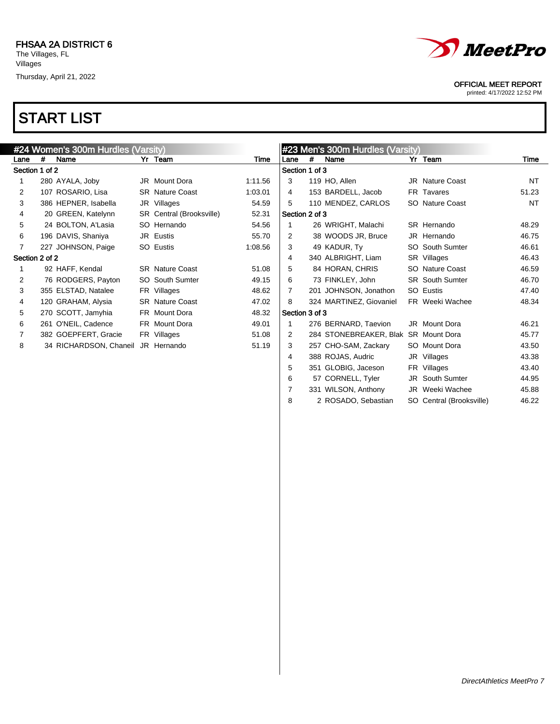

#### OFFICIAL MEET REPORT

printed: 4/17/2022 12:52 PM

## START LIST

|                |   | #24 Women's 300m Hurdles (Varsity) |                          |         |                |   | #23 Men's 300m Hurdles (Varsity)     |                        |           |
|----------------|---|------------------------------------|--------------------------|---------|----------------|---|--------------------------------------|------------------------|-----------|
| Lane           | # | Name                               | Yr Team                  | Time    | Lane           | # | Name                                 | Yr Team                | Time      |
| Section 1 of 2 |   |                                    |                          |         | Section 1 of 3 |   |                                      |                        |           |
|                |   | 280 AYALA, Joby                    | JR Mount Dora            | 1:11.56 | 3              |   | 119 HO, Allen                        | <b>JR</b> Nature Coast | <b>NT</b> |
| 2              |   | 107 ROSARIO, Lisa                  | <b>SR</b> Nature Coast   | 1:03.01 | 4              |   | 153 BARDELL, Jacob                   | FR Tavares             | 51.23     |
| 3              |   | 386 HEPNER, Isabella               | JR Villages              | 54.59   | 5              |   | 110 MENDEZ, CARLOS                   | SO Nature Coast        | <b>NT</b> |
| 4              |   | 20 GREEN, Katelynn                 | SR Central (Brooksville) | 52.31   | Section 2 of 3 |   |                                      |                        |           |
| 5              |   | 24 BOLTON, A'Lasia                 | SO Hernando              | 54.56   |                |   | 26 WRIGHT, Malachi                   | SR Hernando            | 48.29     |
| 6              |   | 196 DAVIS, Shaniya                 | JR Eustis                | 55.70   | $\overline{2}$ |   | 38 WOODS JR, Bruce                   | JR Hernando            | 46.75     |
|                |   | 227 JOHNSON, Paige                 | SO Eustis                | 1:08.56 | 3              |   | 49 KADUR, Ty                         | <b>SO</b> South Sumter | 46.61     |
| Section 2 of 2 |   |                                    |                          |         | 4              |   | 340 ALBRIGHT, Liam                   | SR Villages            | 46.43     |
|                |   | 92 HAFF, Kendal                    | <b>SR</b> Nature Coast   | 51.08   | 5              |   | 84 HORAN, CHRIS                      | <b>SO</b> Nature Coast | 46.59     |
| 2              |   | 76 RODGERS, Payton                 | <b>SO</b> South Sumter   | 49.15   | 6              |   | 73 FINKLEY, John                     | <b>SR</b> South Sumter | 46.70     |
| 3              |   | 355 ELSTAD, Natalee                | FR Villages              | 48.62   | 7              |   | 201 JOHNSON, Jonathon                | SO Eustis              | 47.40     |
| 4              |   | 120 GRAHAM, Alysia                 | <b>SR</b> Nature Coast   | 47.02   | 8              |   | 324 MARTINEZ, Giovaniel              | FR Weeki Wachee        | 48.34     |
| 5              |   | 270 SCOTT, Jamyhia                 | FR Mount Dora            | 48.32   | Section 3 of 3 |   |                                      |                        |           |
| 6              |   | 261 O'NEIL, Cadence                | FR Mount Dora            | 49.01   |                |   | 276 BERNARD, Taevion                 | JR Mount Dora          | 46.21     |
|                |   | 382 GOEPFERT, Gracie               | FR Villages              | 51.08   | 2              |   | 284 STONEBREAKER, Blak SR Mount Dora |                        | 45.77     |
| 8              |   | 34 RICHARDSON, Chaneil             | JR Hernando              | 51.19   | 3              |   | 257 CHO-SAM, Zackary                 | SO Mount Dora          | 43.50     |
|                |   |                                    |                          |         | 4              |   | 388 ROJAS, Audric                    | JR Villages            | 43.38     |
|                |   |                                    |                          |         | 5              |   | 351 GLOBIG, Jaceson                  | FR Villages            | 43.40     |
|                |   |                                    |                          |         | 6              |   | 57 CORNELL, Tyler                    | <b>JR</b> South Sumter | 44.95     |
|                |   |                                    |                          |         |                |   | 331 WILSON, Anthony                  | JR Weeki Wachee        | 45.88     |

2 ROSADO, Sebastian SO Central (Brooksville) 46.22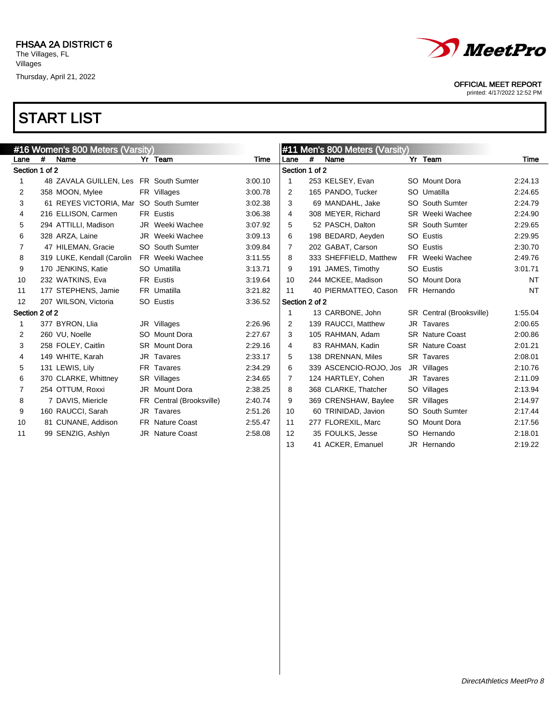

printed: 4/17/2022 12:52 PM

| #16 Women's 800 Meters (Varsity) |   |                                        |    |                          |         | #11 Men's 800 Meters (Varsity) |   |                        |  |                          |           |
|----------------------------------|---|----------------------------------------|----|--------------------------|---------|--------------------------------|---|------------------------|--|--------------------------|-----------|
| Lane                             | # | Name                                   |    | Yr Team                  | Time    | Lane                           | # | Name                   |  | Yr Team                  | Time      |
| Section 1 of 2                   |   |                                        |    |                          |         | Section 1 of 2                 |   |                        |  |                          |           |
| 1                                |   | 48 ZAVALA GUILLEN, Les FR South Sumter |    |                          | 3:00.10 | -1                             |   | 253 KELSEY, Evan       |  | SO Mount Dora            | 2:24.13   |
| 2                                |   | 358 MOON, Mylee                        |    | FR Villages              | 3:00.78 | 2                              |   | 165 PANDO, Tucker      |  | SO Umatilla              | 2:24.65   |
| 3                                |   | 61 REYES VICTORIA, Mar                 |    | <b>SO</b> South Sumter   | 3:02.38 | 3                              |   | 69 MANDAHL, Jake       |  | SO South Sumter          | 2:24.79   |
| 4                                |   | 216 ELLISON, Carmen                    |    | FR Eustis                | 3:06.38 | 4                              |   | 308 MEYER, Richard     |  | <b>SR</b> Weeki Wachee   | 2:24.90   |
| 5                                |   | 294 ATTILLI, Madison                   |    | JR Weeki Wachee          | 3:07.92 | 5                              |   | 52 PASCH, Dalton       |  | <b>SR</b> South Sumter   | 2:29.65   |
| 6                                |   | 328 ARZA, Laine                        |    | JR Weeki Wachee          | 3:09.13 | 6                              |   | 198 BEDARD, Aeyden     |  | SO Eustis                | 2:29.95   |
| $\overline{7}$                   |   | 47 HILEMAN, Gracie                     |    | <b>SO</b> South Sumter   | 3:09.84 | 7                              |   | 202 GABAT, Carson      |  | SO Eustis                | 2:30.70   |
| 8                                |   | 319 LUKE, Kendall (Carolin             |    | FR Weeki Wachee          | 3:11.55 | 8                              |   | 333 SHEFFIELD, Matthew |  | FR Weeki Wachee          | 2:49.76   |
| 9                                |   | 170 JENKINS, Katie                     |    | SO Umatilla              | 3:13.71 | 9                              |   | 191 JAMES, Timothy     |  | SO Eustis                | 3:01.71   |
| 10                               |   | 232 WATKINS, Eva                       |    | FR Eustis                | 3:19.64 | 10                             |   | 244 MCKEE, Madison     |  | SO Mount Dora            | NT        |
| 11                               |   | 177 STEPHENS, Jamie                    |    | FR Umatilla              | 3:21.82 | 11                             |   | 40 PIERMATTEO, Cason   |  | FR Hernando              | <b>NT</b> |
| $12 \overline{ }$                |   | 207 WILSON, Victoria                   |    | SO Eustis                | 3:36.52 | Section 2 of 2                 |   |                        |  |                          |           |
| Section 2 of 2                   |   |                                        |    |                          |         | $\mathbf 1$                    |   | 13 CARBONE, John       |  | SR Central (Brooksville) | 1:55.04   |
| 1                                |   | 377 BYRON, Llia                        |    | JR Villages              | 2:26.96 | 2                              |   | 139 RAUCCI, Matthew    |  | JR Tavares               | 2:00.65   |
| $\overline{2}$                   |   | 260 VU, Noelle                         |    | SO Mount Dora            | 2:27.67 | 3                              |   | 105 RAHMAN, Adam       |  | <b>SR</b> Nature Coast   | 2:00.86   |
| 3                                |   | 258 FOLEY, Caitlin                     |    | <b>SR</b> Mount Dora     | 2:29.16 | 4                              |   | 83 RAHMAN, Kadin       |  | <b>SR</b> Nature Coast   | 2:01.21   |
| 4                                |   | 149 WHITE, Karah                       |    | JR Tavares               | 2:33.17 | 5                              |   | 138 DRENNAN, Miles     |  | <b>SR</b> Tavares        | 2:08.01   |
| 5                                |   | 131 LEWIS, Lily                        |    | FR Tavares               | 2:34.29 | 6                              |   | 339 ASCENCIO-ROJO, Jos |  | JR Villages              | 2:10.76   |
| 6                                |   | 370 CLARKE, Whittney                   |    | SR Villages              | 2:34.65 | 7                              |   | 124 HARTLEY, Cohen     |  | JR Tavares               | 2:11.09   |
| $\overline{7}$                   |   | 254 OTTUM, Roxxi                       |    | JR Mount Dora            | 2:38.25 | 8                              |   | 368 CLARKE, Thatcher   |  | SO Villages              | 2:13.94   |
| 8                                |   | 7 DAVIS, Miericle                      |    | FR Central (Brooksville) | 2:40.74 | 9                              |   | 369 CRENSHAW, Baylee   |  | SR Villages              | 2:14.97   |
| 9                                |   | 160 RAUCCI, Sarah                      | JR | Tavares                  | 2:51.26 | 10                             |   | 60 TRINIDAD, Javion    |  | SO South Sumter          | 2:17.44   |
| 10                               |   | 81 CUNANE, Addison                     |    | <b>FR</b> Nature Coast   | 2:55.47 | 11                             |   | 277 FLOREXIL, Marc     |  | SO Mount Dora            | 2:17.56   |
| 11                               |   | 99 SENZIG, Ashlyn                      |    | JR Nature Coast          | 2:58.08 | 12                             |   | 35 FOULKS, Jesse       |  | SO Hernando              | 2:18.01   |
|                                  |   |                                        |    |                          |         | 13                             |   | 41 ACKER, Emanuel      |  | JR Hernando              | 2:19.22   |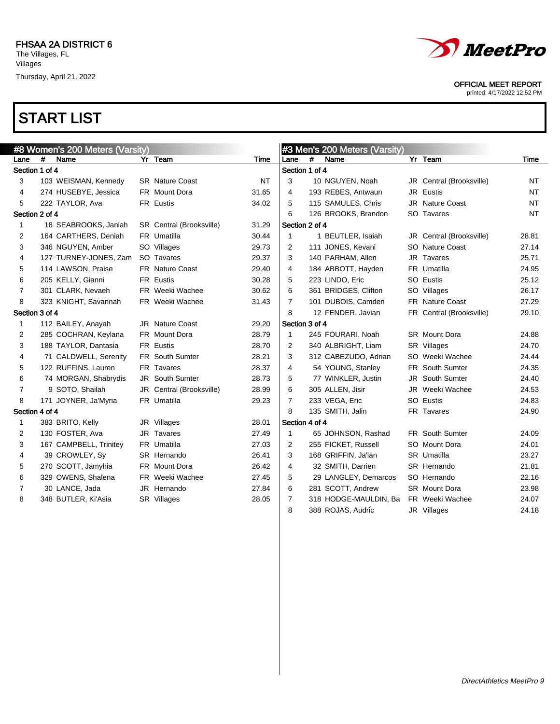



printed: 4/17/2022 12:52 PM

|                |   | #8 Women's 200 Meters (Varsity) |                          |           |                |      | #3 Men's 200 Meters (Varsity) |     |                          |             |
|----------------|---|---------------------------------|--------------------------|-----------|----------------|------|-------------------------------|-----|--------------------------|-------------|
| Lane           | # | Name                            | Yr Team                  | Time      | Lane           | $\#$ | Name                          |     | Yr Team                  | <b>Time</b> |
| Section 1 of 4 |   |                                 |                          |           | Section 1 of 4 |      |                               |     |                          |             |
| 3              |   | 103 WEISMAN, Kennedy            | <b>SR</b> Nature Coast   | <b>NT</b> | 3              |      | 10 NGUYEN, Noah               |     | JR Central (Brooksville) | <b>NT</b>   |
| 4              |   | 274 HUSEBYE, Jessica            | FR Mount Dora            | 31.65     | 4              |      | 193 REBES, Antwaun            |     | JR Eustis                | NT          |
| 5              |   | 222 TAYLOR, Ava                 | <b>FR Eustis</b>         | 34.02     | 5              |      | 115 SAMULES, Chris            |     | <b>JR</b> Nature Coast   | <b>NT</b>   |
| Section 2 of 4 |   |                                 |                          |           | 6              |      | 126 BROOKS, Brandon           |     | SO Tavares               | <b>NT</b>   |
| 1              |   | 18 SEABROOKS, Janiah            | SR Central (Brooksville) | 31.29     | Section 2 of 4 |      |                               |     |                          |             |
| 2              |   | 164 CARTHERS, Deniah            | FR Umatilla              | 30.44     | $\mathbf 1$    |      | 1 BEUTLER, Isaiah             |     | JR Central (Brooksville) | 28.81       |
| 3              |   | 346 NGUYEN, Amber               | SO Villages              | 29.73     | $\overline{2}$ |      | 111 JONES, Kevani             |     | SO Nature Coast          | 27.14       |
| 4              |   | 127 TURNEY-JONES, Zam           | SO Tavares               | 29.37     | 3              |      | 140 PARHAM, Allen             |     | JR Tavares               | 25.71       |
| 5              |   | 114 LAWSON, Praise              | <b>FR</b> Nature Coast   | 29.40     | 4              |      | 184 ABBOTT, Hayden            |     | FR Umatilla              | 24.95       |
| 6              |   | 205 KELLY, Gianni               | FR Eustis                | 30.28     | 5              |      | 223 LINDO, Eric               |     | SO Eustis                | 25.12       |
| 7              |   | 301 CLARK, Nevaeh               | FR Weeki Wachee          | 30.62     | 6              |      | 361 BRIDGES, Clifton          |     | SO Villages              | 26.17       |
| 8              |   | 323 KNIGHT, Savannah            | FR Weeki Wachee          | 31.43     | $\overline{7}$ |      | 101 DUBOIS, Camden            |     | <b>FR</b> Nature Coast   | 27.29       |
| Section 3 of 4 |   |                                 |                          |           | 8              |      | 12 FENDER, Javian             |     | FR Central (Brooksville) | 29.10       |
| 1              |   | 112 BAILEY, Anayah              | <b>JR</b> Nature Coast   | 29.20     | Section 3 of 4 |      |                               |     |                          |             |
| 2              |   | 285 COCHRAN, Keylana            | <b>FR</b> Mount Dora     | 28.79     | $\mathbf{1}$   |      | 245 FOURARI, Noah             |     | SR Mount Dora            | 24.88       |
| 3              |   | 188 TAYLOR, Dantasia            | FR Eustis                | 28.70     | $\overline{2}$ |      | 340 ALBRIGHT, Liam            |     | SR Villages              | 24.70       |
| 4              |   | 71 CALDWELL, Serenity           | FR South Sumter          | 28.21     | 3              |      | 312 CABEZUDO, Adrian          |     | SO Weeki Wachee          | 24.44       |
| 5              |   | 122 RUFFINS, Lauren             | FR Tavares               | 28.37     | 4              |      | 54 YOUNG, Stanley             |     | FR South Sumter          | 24.35       |
| 6              |   | 74 MORGAN, Shabrydis            | <b>JR</b> South Sumter   | 28.73     | 5              |      | 77 WINKLER, Justin            | JR. | South Sumter             | 24.40       |
| 7              |   | 9 SOTO, Shailah                 | JR Central (Brooksville) | 28.99     | 6              |      | 305 ALLEN, Jisir              |     | JR Weeki Wachee          | 24.53       |
| 8              |   | 171 JOYNER, Ja'Myria            | FR Umatilla              | 29.23     | $\overline{7}$ |      | 233 VEGA, Eric                |     | SO Eustis                | 24.83       |
| Section 4 of 4 |   |                                 |                          |           | 8              |      | 135 SMITH, Jalin              |     | FR Tavares               | 24.90       |
| 1              |   | 383 BRITO, Kelly                | JR Villages              | 28.01     | Section 4 of 4 |      |                               |     |                          |             |
| 2              |   | 130 FOSTER, Ava                 | JR Tavares               | 27.49     | $\mathbf{1}$   |      | 65 JOHNSON, Rashad            |     | <b>FR</b> South Sumter   | 24.09       |
| 3              |   | 167 CAMPBELL, Trinitey          | FR Umatilla              | 27.03     | $\overline{2}$ |      | 255 FICKET, Russell           |     | SO Mount Dora            | 24.01       |
| 4              |   | 39 CROWLEY, Sv                  | SR Hernando              | 26.41     | 3              |      | 168 GRIFFIN, Ja'lan           |     | SR Umatilla              | 23.27       |
| 5              |   | 270 SCOTT, Jamyhia              | FR Mount Dora            | 26.42     | 4              |      | 32 SMITH, Darrien             |     | SR Hernando              | 21.81       |
| 6              |   | 329 OWENS, Shalena              | FR Weeki Wachee          | 27.45     | 5              |      | 29 LANGLEY, Demarcos          |     | SO Hernando              | 22.16       |
| 7              |   | 30 LANCE, Jada                  | JR Hernando              | 27.84     | 6              |      | 281 SCOTT, Andrew             |     | <b>SR</b> Mount Dora     | 23.98       |
| 8              |   | 348 BUTLER, Ki'Asia             | SR Villages              | 28.05     | 7              |      | 318 HODGE-MAULDIN, Ba         |     | FR Weeki Wachee          | 24.07       |
|                |   |                                 |                          |           | 8              |      | 388 ROJAS, Audric             |     | JR Villages              | 24.18       |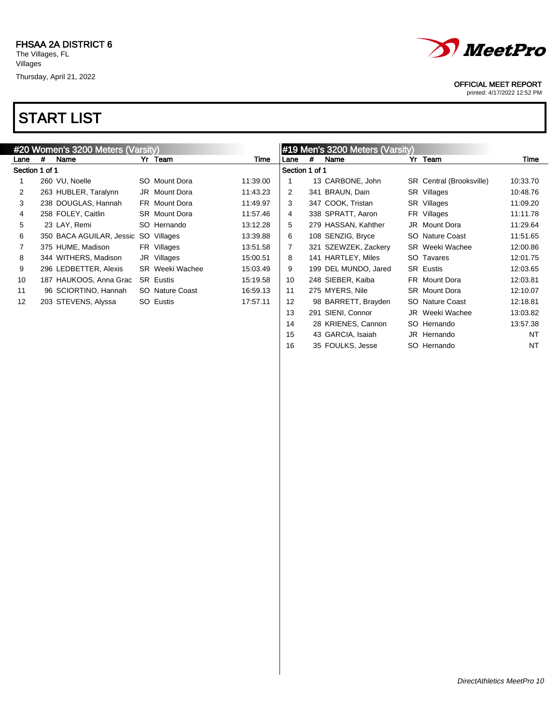



 43 GARCIA, Isaiah JR Hernando NT 16 35 FOULKS, Jesse SO Hernando NT

#### OFFICIAL MEET REPORT

printed: 4/17/2022 12:52 PM

|                   |   | #20 Women's 3200 Meters (Varsity) |                        |          |                 |   | #19 Men's 3200 Meters (Varsity) |                          |          |
|-------------------|---|-----------------------------------|------------------------|----------|-----------------|---|---------------------------------|--------------------------|----------|
| Lane              | # | Name                              | Yr Team                | Time     | Lane            | # | Name                            | Yr Team                  | Time     |
| Section 1 of 1    |   |                                   |                        |          | Section 1 of 1  |   |                                 |                          |          |
|                   |   | 260 VU, Noelle                    | SO Mount Dora          | 11:39.00 |                 |   | 13 CARBONE, John                | SR Central (Brooksville) | 10:33.70 |
| $\overline{2}$    |   | 263 HUBLER, Taralynn              | JR Mount Dora          | 11:43.23 | $\overline{2}$  |   | 341 BRAUN, Dain                 | SR Villages              | 10:48.76 |
| 3                 |   | 238 DOUGLAS, Hannah               | FR Mount Dora          | 11:49.97 | 3               |   | 347 COOK, Tristan               | SR Villages              | 11:09.20 |
| 4                 |   | 258 FOLEY, Caitlin                | <b>SR</b> Mount Dora   | 11:57.46 | $\overline{4}$  |   | 338 SPRATT, Aaron               | FR Villages              | 11:11.78 |
| 5                 |   | 23 LAY, Remi                      | SO Hernando            | 13:12.28 | 5               |   | 279 HASSAN, Kahther             | JR Mount Dora            | 11:29.64 |
| 6                 |   | 350 BACA AGUILAR, Jessic          | SO Villages            | 13:39.88 | 6               |   | 108 SENZIG, Bryce               | SO Nature Coast          | 11:51.65 |
| 7                 |   | 375 HUME, Madison                 | FR Villages            | 13:51.58 | $\overline{7}$  |   | 321 SZEWZEK, Zackery            | <b>SR</b> Weeki Wachee   | 12:00.86 |
| 8                 |   | 344 WITHERS, Madison              | JR Villages            | 15:00.51 | 8               |   | 141 HARTLEY, Miles              | SO Tavares               | 12:01.75 |
| 9                 |   | 296 LEDBETTER, Alexis             | <b>SR</b> Weeki Wachee | 15:03.49 | 9               |   | 199 DEL MUNDO, Jared            | <b>SR</b> Eustis         | 12:03.65 |
| 10                |   | 187 HAUKOOS, Anna Grac            | <b>SR Eustis</b>       | 15:19.58 | 10 <sup>°</sup> |   | 248 SIEBER, Kaiba               | FR Mount Dora            | 12:03.81 |
| 11                |   | 96 SCIORTINO, Hannah              | SO Nature Coast        | 16:59.13 | 11              |   | 275 MYERS, Nile                 | <b>SR</b> Mount Dora     | 12:10.07 |
| $12 \overline{ }$ |   | 203 STEVENS, Alyssa               | SO Eustis              | 17:57.11 | 12              |   | 98 BARRETT, Brayden             | SO Nature Coast          | 12:18.81 |
|                   |   |                                   |                        |          | 13              |   | 291 SIENI, Connor               | JR Weeki Wachee          | 13:03.82 |
|                   |   |                                   |                        |          | 14              |   | 28 KRIENES, Cannon              | SO Hernando              | 13:57.38 |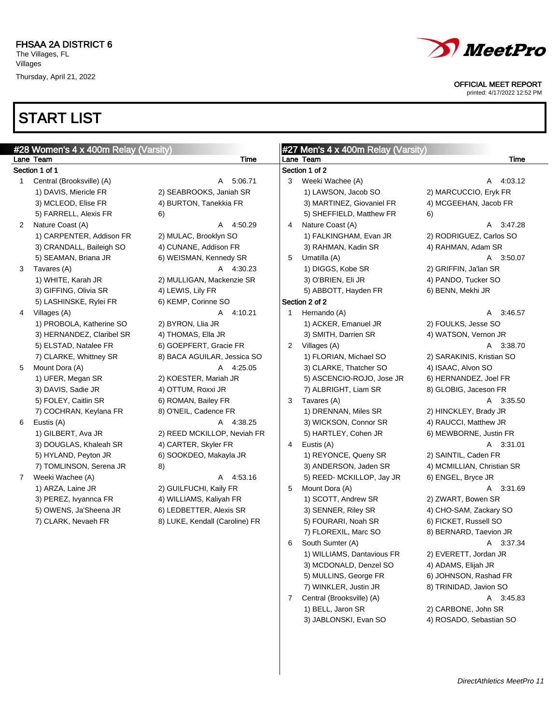# START LIST

#### OFFICIAL MEET REPORT

printed: 4/17/2022 12:52 PM

|              | #28 Women's 4 x 400m Relay (Varsity) |                                |                | #27 Men's 4 x 400m Relay (Varsity) |                            |      |
|--------------|--------------------------------------|--------------------------------|----------------|------------------------------------|----------------------------|------|
|              | Lane Team                            | <b>Time</b>                    |                | Lane Team                          |                            | Time |
|              | Section 1 of 1                       |                                |                | Section 1 of 2                     |                            |      |
| $\mathbf{1}$ | Central (Brooksville) (A)            | A 5:06.71                      | 3              | Weeki Wachee (A)                   | A 4:03.12                  |      |
|              | 1) DAVIS, Miericle FR                | 2) SEABROOKS, Janiah SR        |                | 1) LAWSON, Jacob SO                | 2) MARCUCCIO, Eryk FR      |      |
|              | 3) MCLEOD, Elise FR                  | 4) BURTON, Tanekkia FR         |                | 3) MARTINEZ, Giovaniel FR          | 4) MCGEEHAN, Jacob FR      |      |
|              | 5) FARRELL, Alexis FR                | 6)                             |                | 5) SHEFFIELD, Matthew FR           | 6)                         |      |
| 2            | Nature Coast (A)                     | A 4:50.29                      | 4              | Nature Coast (A)                   | A 3:47.28                  |      |
|              | 1) CARPENTER, Addison FR             | 2) MULAC, Brooklyn SO          |                | 1) FALKINGHAM, Evan JR             | 2) RODRIGUEZ, Carlos SO    |      |
|              | 3) CRANDALL, Baileigh SO             | 4) CUNANE, Addison FR          |                | 3) RAHMAN, Kadin SR                | 4) RAHMAN, Adam SR         |      |
|              | 5) SEAMAN, Briana JR                 | 6) WEISMAN, Kennedy SR         | 5              | Umatilla (A)                       | A 3:50.07                  |      |
| 3            | Tavares (A)                          | A 4:30.23                      |                | 1) DIGGS, Kobe SR                  | 2) GRIFFIN, Ja'lan SR      |      |
|              | 1) WHITE, Karah JR                   | 2) MULLIGAN, Mackenzie SR      |                | 3) O'BRIEN, Eli JR                 | 4) PANDO, Tucker SO        |      |
|              | 3) GIFFING, Olivia SR                | 4) LEWIS, Lily FR              |                | 5) ABBOTT, Hayden FR               | 6) BENN, Mekhi JR          |      |
|              | 5) LASHINSKE, Rylei FR               | 6) KEMP, Corinne SO            |                | Section 2 of 2                     |                            |      |
| 4            | Villages (A)                         | A 4:10.21                      | $\mathbf{1}$   | Hernando (A)                       | A 3:46.57                  |      |
|              | 1) PROBOLA, Katherine SO             | 2) BYRON, Llia JR              |                | 1) ACKER, Emanuel JR               | 2) FOULKS, Jesse SO        |      |
|              | 3) HERNANDEZ, Claribel SR            | 4) THOMAS, Ella JR             |                | 3) SMITH, Darrien SR               | 4) WATSON, Vernon JR       |      |
|              | 5) ELSTAD, Natalee FR                | 6) GOEPFERT, Gracie FR         | $\mathbf{2}$   | Villages (A)                       | A 3:38.70                  |      |
|              | 7) CLARKE, Whittney SR               | 8) BACA AGUILAR, Jessica SO    |                | 1) FLORIAN, Michael SO             | 2) SARAKINIS, Kristian SO  |      |
| 5            | Mount Dora (A)                       | A 4:25.05                      |                | 3) CLARKE, Thatcher SO             | 4) ISAAC, Alvon SO         |      |
|              | 1) UFER, Megan SR                    | 2) KOESTER, Mariah JR          |                | 5) ASCENCIO-ROJO, Jose JR          | 6) HERNANDEZ, Joel FR      |      |
|              | 3) DAVIS, Sadie JR                   | 4) OTTUM, Roxxi JR             |                | 7) ALBRIGHT, Liam SR               | 8) GLOBIG, Jaceson FR      |      |
|              | 5) FOLEY, Caitlin SR                 | 6) ROMAN, Bailey FR            | 3              | Tavares (A)                        | A 3:35.50                  |      |
|              | 7) COCHRAN, Keylana FR               | 8) O'NEIL, Cadence FR          |                | 1) DRENNAN, Miles SR               | 2) HINCKLEY, Brady JR      |      |
| 6            | Eustis (A)                           | A 4:38.25                      |                | 3) WICKSON, Connor SR              | 4) RAUCCI, Matthew JR      |      |
|              | 1) GILBERT, Ava JR                   | 2) REED MCKILLOP, Neviah FR    |                | 5) HARTLEY, Cohen JR               | 6) MEWBORNE, Justin FR     |      |
|              | 3) DOUGLAS, Khaleah SR               | 4) CARTER, Skyler FR           | $\overline{4}$ | Eustis (A)                         | A 3:31.01                  |      |
|              | 5) HYLAND, Peyton JR                 | 6) SOOKDEO, Makayla JR         |                | 1) REYONCE, Queny SR               | 2) SAINTIL, Caden FR       |      |
|              | 7) TOMLINSON, Serena JR              | 8)                             |                | 3) ANDERSON, Jaden SR              | 4) MCMILLIAN, Christian SR |      |
| $7^{\circ}$  | Weeki Wachee (A)                     | A 4:53.16                      |                | 5) REED- MCKILLOP, Jay JR          | 6) ENGEL, Bryce JR         |      |
|              | 1) ARZA, Laine JR                    | 2) GUILFUCHI, Kaily FR         | 5              | Mount Dora (A)                     | A 3:31.69                  |      |
|              | 3) PEREZ, Ivyannca FR                | 4) WILLIAMS, Kaliyah FR        |                | 1) SCOTT, Andrew SR                | 2) ZWART, Bowen SR         |      |
|              | 5) OWENS, Ja'Sheena JR               | 6) LEDBETTER, Alexis SR        |                | 3) SENNER, Riley SR                | 4) CHO-SAM, Zackary SO     |      |
|              | 7) CLARK, Nevaeh FR                  | 8) LUKE, Kendall (Caroline) FR |                | 5) FOURARI, Noah SR                | 6) FICKET, Russell SO      |      |
|              |                                      |                                |                | 7) FLOREXIL, Marc SO               | 8) BERNARD, Taevion JR     |      |
|              |                                      |                                | 6              | South Sumter (A)                   | A 3:37.34                  |      |
|              |                                      |                                |                | 1) WILLIAMS, Dantavious FR         | 2) EVERETT, Jordan JR      |      |
|              |                                      |                                |                | 3) MCDONALD, Denzel SO             | 4) ADAMS, Elijah JR        |      |
|              |                                      |                                |                | 5) MULLINS, George FR              | 6) JOHNSON, Rashad FR      |      |
|              |                                      |                                |                | 7) WINKLER, Justin JR              | 8) TRINIDAD, Javion SO     |      |
|              |                                      |                                | 7              | Central (Brooksville) (A)          | A 3:45.83                  |      |
|              |                                      |                                |                | 1) BELL, Jaron SR                  | 2) CARBONE, John SR        |      |

3) JABLONSKI, Evan SO 4) ROSADO, Sebastian SO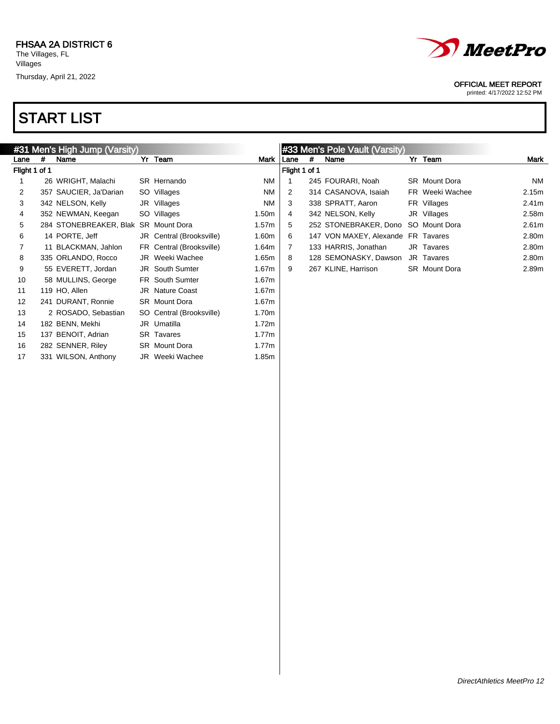

#### OFFICIAL MEET REPORT

printed: 4/17/2022 12:52 PM

|               | #31 Men's High Jump (Varsity) |                        |  |                          |                   |               | #33 Men's Pole Vault (Varsity) |                                    |  |                      |                   |
|---------------|-------------------------------|------------------------|--|--------------------------|-------------------|---------------|--------------------------------|------------------------------------|--|----------------------|-------------------|
| Lane          | #                             | Name                   |  | Yr Team                  | Mark              | l Lane        | #                              | Name                               |  | Yr Team              | Mark              |
| Flight 1 of 1 |                               |                        |  |                          |                   | Flight 1 of 1 |                                |                                    |  |                      |                   |
|               |                               | 26 WRIGHT, Malachi     |  | SR Hernando              | <b>NM</b>         |               |                                | 245 FOURARI, Noah                  |  | <b>SR</b> Mount Dora | NM                |
| 2             |                               | 357 SAUCIER, Ja'Darian |  | SO Villages              | <b>NM</b>         | 2             |                                | 314 CASANOVA, Isaiah               |  | FR Weeki Wachee      | 2.15m             |
| 3             |                               | 342 NELSON, Kelly      |  | JR Villages              | <b>NM</b>         | 3             |                                | 338 SPRATT, Aaron                  |  | FR Villages          | 2.41 <sub>m</sub> |
| 4             |                               | 352 NEWMAN, Keegan     |  | SO Villages              | 1.50 <sub>m</sub> | 4             |                                | 342 NELSON, Kelly                  |  | JR Villages          | 2.58m             |
| 5             |                               | 284 STONEBREAKER, Blak |  | <b>SR</b> Mount Dora     | 1.57m             | 5             |                                | 252 STONEBRAKER, Dono              |  | SO Mount Dora        | 2.61 <sub>m</sub> |
| 6             |                               | 14 PORTE, Jeff         |  | JR Central (Brooksville) | 1.60m             | 6             |                                | 147 VON MAXEY, Alexande FR Tavares |  |                      | 2.80m             |
|               |                               | 11 BLACKMAN, Jahlon    |  | FR Central (Brooksville) | 1.64m             |               |                                | 133 HARRIS, Jonathan               |  | JR Tavares           | 2.80m             |
| 8             |                               | 335 ORLANDO, Rocco     |  | JR Weeki Wachee          | 1.65m             | 8             |                                | 128 SEMONASKY, Dawson              |  | JR Tavares           | 2.80m             |
| 9             |                               | 55 EVERETT, Jordan     |  | JR South Sumter          | 1.67m             | 9             |                                | 267 KLINE, Harrison                |  | <b>SR</b> Mount Dora | 2.89m             |
| 10            |                               | 58 MULLINS, George     |  | FR South Sumter          | 1.67m             |               |                                |                                    |  |                      |                   |
| 11            |                               | 119 HO, Allen          |  | <b>JR</b> Nature Coast   | 1.67m             |               |                                |                                    |  |                      |                   |
| 12            |                               | 241 DURANT, Ronnie     |  | <b>SR</b> Mount Dora     | 1.67m             |               |                                |                                    |  |                      |                   |
| 13            |                               | 2 ROSADO, Sebastian    |  | SO Central (Brooksville) | 1.70m             |               |                                |                                    |  |                      |                   |
| 14            |                               | 182 BENN, Mekhi        |  | JR Umatilla              | 1.72m             |               |                                |                                    |  |                      |                   |
| 15            |                               | 137 BENOIT, Adrian     |  | <b>SR</b> Tavares        | 1.77m             |               |                                |                                    |  |                      |                   |
| 16            |                               | 282 SENNER, Riley      |  | <b>SR</b> Mount Dora     | 1.77m             |               |                                |                                    |  |                      |                   |
| 17            |                               | 331 WILSON, Anthony    |  | JR Weeki Wachee          | 1.85m             |               |                                |                                    |  |                      |                   |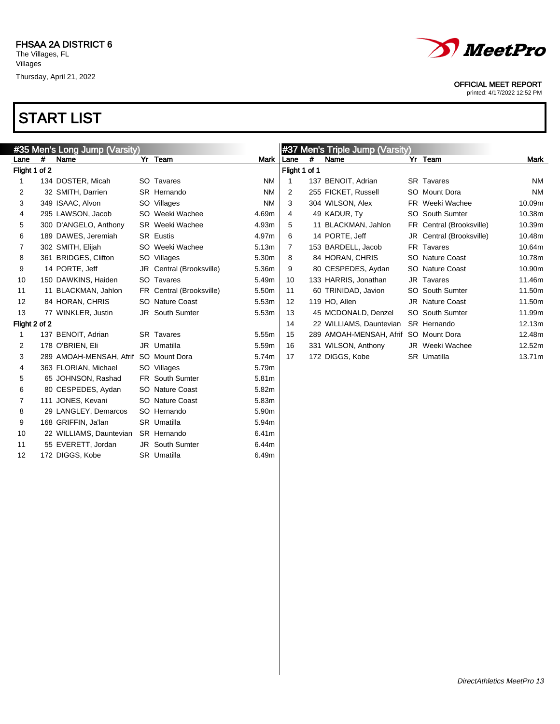

#### OFFICIAL MEET REPORT

printed: 4/17/2022 12:52 PM

| #35 Men's Long Jump (Varsity) |   |                         |  |                          |           | #37 Men's Triple Jump (Varsity) |   |                                       |  |                          |           |
|-------------------------------|---|-------------------------|--|--------------------------|-----------|---------------------------------|---|---------------------------------------|--|--------------------------|-----------|
| Lane                          | # | Name                    |  | Yr Team                  | Mark      | Lane                            | # | Name                                  |  | Yr Team                  | Mark      |
| Flight 1 of 2                 |   |                         |  |                          |           | Flight 1 of 1                   |   |                                       |  |                          |           |
| 1                             |   | 134 DOSTER, Micah       |  | SO Tavares               | <b>NM</b> | 1                               |   | 137 BENOIT, Adrian                    |  | <b>SR</b> Tavares        | NM        |
| 2                             |   | 32 SMITH, Darrien       |  | SR Hernando              | <b>NM</b> | 2                               |   | 255 FICKET, Russell                   |  | SO Mount Dora            | <b>NM</b> |
| 3                             |   | 349 ISAAC, Alvon        |  | SO Villages              | <b>NM</b> | 3                               |   | 304 WILSON, Alex                      |  | FR Weeki Wachee          | 10.09m    |
| 4                             |   | 295 LAWSON, Jacob       |  | SO Weeki Wachee          | 4.69m     | 4                               |   | 49 KADUR, Ty                          |  | SO South Sumter          | 10.38m    |
| 5                             |   | 300 D'ANGELO, Anthony   |  | SR Weeki Wachee          | 4.93m     | 5                               |   | 11 BLACKMAN, Jahlon                   |  | FR Central (Brooksville) | 10.39m    |
| 6                             |   | 189 DAWES, Jeremiah     |  | <b>SR Eustis</b>         | 4.97m     | 6                               |   | 14 PORTE, Jeff                        |  | JR Central (Brooksville) | 10.48m    |
| 7                             |   | 302 SMITH, Elijah       |  | SO Weeki Wachee          | 5.13m     | 7                               |   | 153 BARDELL, Jacob                    |  | FR Tavares               | 10.64m    |
| 8                             |   | 361 BRIDGES, Clifton    |  | SO Villages              | 5.30m     | 8                               |   | 84 HORAN, CHRIS                       |  | SO Nature Coast          | 10.78m    |
| 9                             |   | 14 PORTE, Jeff          |  | JR Central (Brooksville) | 5.36m     | 9                               |   | 80 CESPEDES, Aydan                    |  | SO Nature Coast          | 10.90m    |
| 10                            |   | 150 DAWKINS, Haiden     |  | SO Tavares               | 5.49m     | 10                              |   | 133 HARRIS, Jonathan                  |  | JR Tavares               | 11.46m    |
| 11                            |   | 11 BLACKMAN, Jahlon     |  | FR Central (Brooksville) | 5.50m     | 11                              |   | 60 TRINIDAD, Javion                   |  | SO South Sumter          | 11.50m    |
| 12                            |   | 84 HORAN, CHRIS         |  | SO Nature Coast          | 5.53m     | 12                              |   | 119 HO. Allen                         |  | JR Nature Coast          | 11.50m    |
| 13                            |   | 77 WINKLER, Justin      |  | JR South Sumter          | 5.53m     | 13                              |   | 45 MCDONALD, Denzel                   |  | SO South Sumter          | 11.99m    |
| Flight 2 of 2                 |   |                         |  |                          |           | 14                              |   | 22 WILLIAMS, Dauntevian               |  | SR Hernando              | 12.13m    |
| 1                             |   | 137 BENOIT, Adrian      |  | <b>SR Tavares</b>        | 5.55m     | 15                              |   | 289 AMOAH-MENSAH, Afrif SO Mount Dora |  |                          | 12.48m    |
| 2                             |   | 178 O'BRIEN, Eli        |  | JR Umatilla              | 5.59m     | 16                              |   | 331 WILSON, Anthony                   |  | JR Weeki Wachee          | 12.52m    |
| 3                             |   | 289 AMOAH-MENSAH, Afrif |  | SO Mount Dora            | 5.74m     | 17                              |   | 172 DIGGS, Kobe                       |  | SR Umatilla              | 13.71m    |
| 4                             |   | 363 FLORIAN, Michael    |  | SO Villages              | 5.79m     |                                 |   |                                       |  |                          |           |
| 5                             |   | 65 JOHNSON, Rashad      |  | <b>FR</b> South Sumter   | 5.81m     |                                 |   |                                       |  |                          |           |
| 6                             |   | 80 CESPEDES, Aydan      |  | SO Nature Coast          | 5.82m     |                                 |   |                                       |  |                          |           |
| 7                             |   | 111 JONES, Kevani       |  | SO Nature Coast          | 5.83m     |                                 |   |                                       |  |                          |           |
| 8                             |   | 29 LANGLEY, Demarcos    |  | SO Hernando              | 5.90m     |                                 |   |                                       |  |                          |           |
| 9                             |   | 168 GRIFFIN, Ja'lan     |  | SR Umatilla              | 5.94m     |                                 |   |                                       |  |                          |           |
| 10                            |   | 22 WILLIAMS, Dauntevian |  | SR Hernando              | 6.41m     |                                 |   |                                       |  |                          |           |
| 11                            |   | 55 EVERETT, Jordan      |  | JR South Sumter          | 6.44m     |                                 |   |                                       |  |                          |           |
| 12                            |   | 172 DIGGS, Kobe         |  | SR Umatilla              | 6.49m     |                                 |   |                                       |  |                          |           |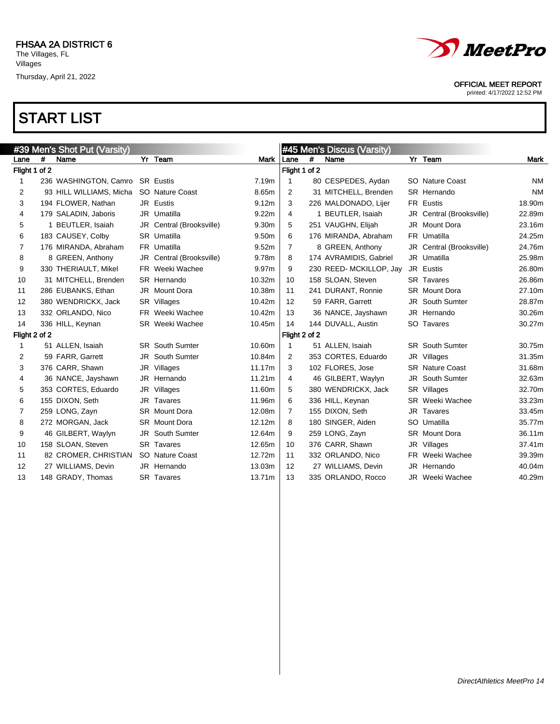



printed: 4/17/2022 12:52 PM

|                |   | #39 Men's Shot Put (Varsity) |                          |        |                |               | #45 Men's Discus (Varsity) |    |                          |           |  |
|----------------|---|------------------------------|--------------------------|--------|----------------|---------------|----------------------------|----|--------------------------|-----------|--|
| Lane           | # | Name                         | Yr Team                  | Mark   | Lane           | #             | Name                       |    | Yr Team                  | Mark      |  |
| Flight 1 of 2  |   |                              |                          |        | Flight 1 of 2  |               |                            |    |                          |           |  |
| 1              |   | 236 WASHINGTON, Camro        | <b>SR</b> Eustis         | 7.19m  | 1              |               | 80 CESPEDES, Aydan         |    | SO Nature Coast          | NM        |  |
| 2              |   | 93 HILL WILLIAMS, Micha      | SO Nature Coast          | 8.65m  | 2              |               | 31 MITCHELL, Brenden       |    | SR Hernando              | <b>NM</b> |  |
| 3              |   | 194 FLOWER, Nathan           | JR Eustis                | 9.12m  | 3              |               | 226 MALDONADO, Lijer       |    | FR Eustis                | 18.90m    |  |
| 4              |   | 179 SALADIN, Jaboris         | JR Umatilla              | 9.22m  | 4              |               | 1 BEUTLER, Isaiah          |    | JR Central (Brooksville) | 22.89m    |  |
| 5              |   | 1 BEUTLER, Isaiah            | JR Central (Brooksville) | 9.30m  | 5              |               | 251 VAUGHN, Elijah         | JR | <b>Mount Dora</b>        | 23.16m    |  |
| 6              |   | 183 CAUSEY, Colby            | <b>SR</b> Umatilla       | 9.50m  | 6              |               | 176 MIRANDA, Abraham       |    | FR Umatilla              | 24.25m    |  |
| 7              |   | 176 MIRANDA, Abraham         | FR Umatilla              | 9.52m  | $\overline{7}$ |               | 8 GREEN, Anthony           |    | JR Central (Brooksville) | 24.76m    |  |
| 8              |   | 8 GREEN, Anthony             | JR Central (Brooksville) | 9.78m  | 8              |               | 174 AVRAMIDIS, Gabriel     |    | JR Umatilla              | 25.98m    |  |
| 9              |   | 330 THERIAULT, Mikel         | FR Weeki Wachee          | 9.97m  | 9              |               | 230 REED- MCKILLOP, Jay    |    | JR Eustis                | 26.80m    |  |
| 10             |   | 31 MITCHELL, Brenden         | SR Hernando              | 10.32m | 10             |               | 158 SLOAN, Steven          |    | <b>SR</b> Tavares        | 26.86m    |  |
| 11             |   | 286 EUBANKS, Ethan           | JR Mount Dora            | 10.38m | 11             |               | 241 DURANT, Ronnie         |    | <b>SR</b> Mount Dora     | 27.10m    |  |
| 12             |   | 380 WENDRICKX, Jack          | SR Villages              | 10.42m | 12             |               | 59 FARR. Garrett           |    | <b>JR</b> South Sumter   | 28.87m    |  |
| 13             |   | 332 ORLANDO, Nico            | FR Weeki Wachee          | 10.42m | 13             |               | 36 NANCE, Jayshawn         |    | JR Hernando              | 30.26m    |  |
| 14             |   | 336 HILL, Keynan             | <b>SR</b> Weeki Wachee   | 10.45m | 14             |               | 144 DUVALL, Austin         |    | SO Tavares               | 30.27m    |  |
| Flight 2 of 2  |   |                              |                          |        |                | Flight 2 of 2 |                            |    |                          |           |  |
| 1              |   | 51 ALLEN, Isaiah             | <b>SR</b> South Sumter   | 10.60m | 1              |               | 51 ALLEN, Isaiah           |    | <b>SR</b> South Sumter   | 30.75m    |  |
| 2              |   | 59 FARR, Garrett             | <b>JR</b> South Sumter   | 10.84m | 2              |               | 353 CORTES, Eduardo        |    | JR Villages              | 31.35m    |  |
| 3              |   | 376 CARR, Shawn              | JR Villages              | 11.17m | 3              |               | 102 FLORES, Jose           |    | <b>SR</b> Nature Coast   | 31.68m    |  |
| 4              |   | 36 NANCE, Jayshawn           | JR Hernando              | 11.21m | 4              |               | 46 GILBERT, Waylyn         |    | <b>JR</b> South Sumter   | 32.63m    |  |
| 5              |   | 353 CORTES, Eduardo          | JR Villages              | 11.60m | 5              |               | 380 WENDRICKX, Jack        |    | SR Villages              | 32.70m    |  |
| 6              |   | 155 DIXON, Seth              | JR Tavares               | 11.96m | 6              |               | 336 HILL, Keynan           |    | SR Weeki Wachee          | 33.23m    |  |
| $\overline{7}$ |   | 259 LONG, Zayn               | <b>SR</b> Mount Dora     | 12.08m | $\overline{7}$ |               | 155 DIXON, Seth            |    | JR Tavares               | 33.45m    |  |
| 8              |   | 272 MORGAN, Jack             | <b>SR</b> Mount Dora     | 12.12m | 8              |               | 180 SINGER, Aiden          |    | SO Umatilla              | 35.77m    |  |
| 9              |   | 46 GILBERT, Waylyn           | JR South Sumter          | 12.64m | 9              |               | 259 LONG, Zayn             |    | <b>SR</b> Mount Dora     | 36.11m    |  |
| 10             |   | 158 SLOAN, Steven            | <b>SR</b> Tavares        | 12.65m | 10             |               | 376 CARR, Shawn            |    | JR Villages              | 37.41m    |  |
| 11             |   | 82 CROMER, CHRISTIAN         | SO Nature Coast          | 12.72m | 11             |               | 332 ORLANDO, Nico          |    | FR Weeki Wachee          | 39.39m    |  |
| 12             |   | 27 WILLIAMS, Devin           | JR Hernando              | 13.03m | 12             |               | 27 WILLIAMS, Devin         | JR | Hernando                 | 40.04m    |  |
| 13             |   | 148 GRADY, Thomas            | SR Tavares               | 13.71m | 13             |               | 335 ORLANDO, Rocco         |    | JR Weeki Wachee          | 40.29m    |  |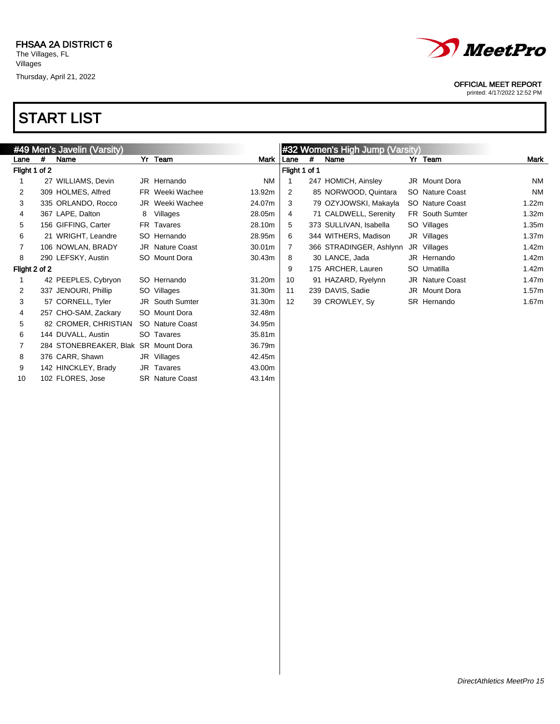

#### OFFICIAL MEET REPORT

printed: 4/17/2022 12:52 PM

|               |   |                                      |   |                        | #32 Women's High Jump (Varsity) |                   |               |                         |  |                        |           |  |
|---------------|---|--------------------------------------|---|------------------------|---------------------------------|-------------------|---------------|-------------------------|--|------------------------|-----------|--|
|               |   | #49 Men's Javelin (Varsity)          |   |                        |                                 |                   |               |                         |  |                        |           |  |
| Lane          | # | Name                                 |   | Yr Team                | Mark                            | Lane              | #             | Name                    |  | Yr Team                | Mark      |  |
| Flight 1 of 2 |   |                                      |   |                        |                                 |                   | Flight 1 of 1 |                         |  |                        |           |  |
|               |   | 27 WILLIAMS, Devin                   |   | JR Hernando            | NM.                             |                   |               | 247 HOMICH, Ainsley     |  | JR Mount Dora          | NM        |  |
| 2             |   | 309 HOLMES, Alfred                   |   | FR Weeki Wachee        | 13.92m                          | 2                 |               | 85 NORWOOD, Quintara    |  | SO Nature Coast        | <b>NM</b> |  |
| 3             |   | 335 ORLANDO, Rocco                   |   | JR Weeki Wachee        | 24.07m                          | 3                 |               | 79 OZYJOWSKI, Makayla   |  | SO Nature Coast        | 1.22m     |  |
| 4             |   | 367 LAPE, Dalton                     | 8 | Villages               | 28.05m                          | 4                 |               | 71 CALDWELL, Serenity   |  | <b>FR</b> South Sumter | 1.32m     |  |
| 5             |   | 156 GIFFING, Carter                  |   | FR Tavares             | 28.10m                          | 5                 |               | 373 SULLIVAN, Isabella  |  | SO Villages            | 1.35m     |  |
| 6             |   | 21 WRIGHT, Leandre                   |   | SO Hernando            | 28.95m                          | 6                 |               | 344 WITHERS, Madison    |  | JR Villages            | 1.37m     |  |
| 7             |   | 106 NOWLAN, BRADY                    |   | JR Nature Coast        | 30.01m                          | 7                 |               | 366 STRADINGER, Ashlynn |  | JR Villages            | 1.42m     |  |
| 8             |   | 290 LEFSKY, Austin                   |   | SO Mount Dora          | 30.43m                          | 8                 |               | 30 LANCE, Jada          |  | JR Hernando            | 1.42m     |  |
| Flight 2 of 2 |   |                                      |   |                        |                                 | 9                 |               | 175 ARCHER, Lauren      |  | SO Umatilla            | 1.42m     |  |
|               |   | 42 PEEPLES, Cybryon                  |   | SO Hernando            | 31.20m                          | 10                |               | 91 HAZARD, Ryelynn      |  | JR Nature Coast        | 1.47m     |  |
| 2             |   | 337 JENOURI, Phillip                 |   | SO Villages            | 31.30m                          | 11                |               | 239 DAVIS, Sadie        |  | JR Mount Dora          | 1.57m     |  |
| 3             |   | 57 CORNELL, Tyler                    |   | <b>JR</b> South Sumter | 31.30m                          | $12 \overline{ }$ |               | 39 CROWLEY, Sy          |  | SR Hernando            | 1.67m     |  |
| 4             |   | 257 CHO-SAM, Zackary                 |   | SO Mount Dora          | 32.48m                          |                   |               |                         |  |                        |           |  |
| 5             |   | 82 CROMER, CHRISTIAN                 |   | SO Nature Coast        | 34.95m                          |                   |               |                         |  |                        |           |  |
| 6             |   | 144 DUVALL, Austin                   |   | SO Tavares             | 35.81m                          |                   |               |                         |  |                        |           |  |
| 7             |   | 284 STONEBREAKER, Blak SR Mount Dora |   |                        | 36.79m                          |                   |               |                         |  |                        |           |  |
| 8             |   | 376 CARR, Shawn                      |   | JR Villages            | 42.45m                          |                   |               |                         |  |                        |           |  |
| 9             |   | 142 HINCKLEY, Brady                  |   | JR Tavares             | 43.00m                          |                   |               |                         |  |                        |           |  |
| 10            |   | 102 FLORES, Jose                     |   | <b>SR</b> Nature Coast | 43.14m                          |                   |               |                         |  |                        |           |  |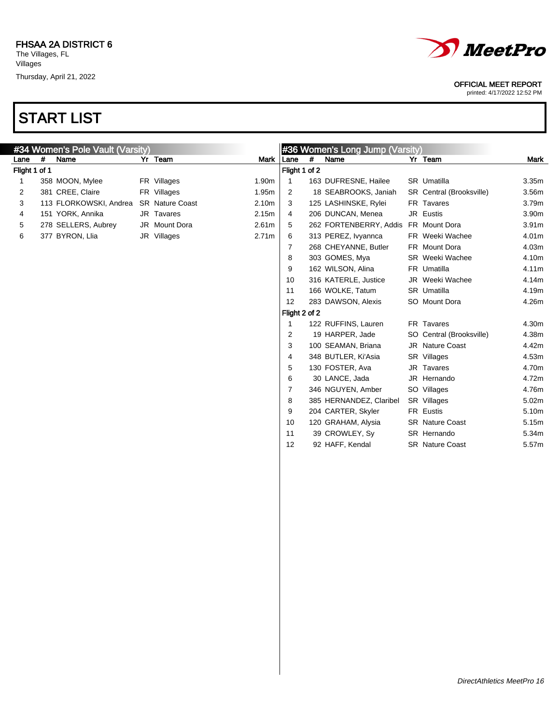

### OFFICIAL MEET REPORT

printed: 4/17/2022 12:52 PM

| #34 Women's Pole Vault (Varsity) |   |                        |  |                        |                   |                |               | #36 Women's Long Jump (Varsity) |  |                          |                   |  |  |
|----------------------------------|---|------------------------|--|------------------------|-------------------|----------------|---------------|---------------------------------|--|--------------------------|-------------------|--|--|
| Lane                             | # | Name                   |  | Yr Team                | <b>Mark</b>       | Lane           | #             | Name                            |  | Yr Team                  | Mark              |  |  |
| Flight 1 of 1                    |   |                        |  |                        |                   |                | Flight 1 of 2 |                                 |  |                          |                   |  |  |
| 1                                |   | 358 MOON, Mylee        |  | FR Villages            | 1.90m             | 1              |               | 163 DUFRESNE, Hailee            |  | SR Umatilla              | 3.35 <sub>m</sub> |  |  |
| 2                                |   | 381 CREE, Claire       |  | FR Villages            | 1.95m             | $\overline{2}$ |               | 18 SEABROOKS, Janiah            |  | SR Central (Brooksville) | 3.56m             |  |  |
| 3                                |   | 113 FLORKOWSKI, Andrea |  | <b>SR</b> Nature Coast | 2.10m             | 3              |               | 125 LASHINSKE, Rylei            |  | FR Tavares               | 3.79m             |  |  |
| 4                                |   | 151 YORK, Annika       |  | JR Tavares             | 2.15m             | 4              |               | 206 DUNCAN, Menea               |  | JR Eustis                | 3.90m             |  |  |
| 5                                |   | 278 SELLERS, Aubrey    |  | JR Mount Dora          | 2.61m             | 5              |               | 262 FORTENBERRY, Addis          |  | FR Mount Dora            | 3.91 <sub>m</sub> |  |  |
| 6                                |   | 377 BYRON, Llia        |  | JR Villages            | 2.71 <sub>m</sub> | 6              |               | 313 PEREZ, Ivyannca             |  | FR Weeki Wachee          | 4.01m             |  |  |
|                                  |   |                        |  |                        |                   | 7              |               | 268 CHEYANNE, Butler            |  | FR Mount Dora            | 4.03m             |  |  |
|                                  |   |                        |  |                        |                   | 8              |               | 303 GOMES, Mya                  |  | <b>SR</b> Weeki Wachee   | 4.10m             |  |  |
|                                  |   |                        |  |                        |                   | 9              |               | 162 WILSON, Alina               |  | FR Umatilla              | 4.11m             |  |  |
|                                  |   |                        |  |                        |                   | 10             |               | 316 KATERLE, Justice            |  | JR Weeki Wachee          | 4.14m             |  |  |
|                                  |   |                        |  |                        |                   | 11             |               | 166 WOLKE, Tatum                |  | SR Umatilla              | 4.19m             |  |  |
|                                  |   |                        |  |                        |                   | 12             |               | 283 DAWSON, Alexis              |  | SO Mount Dora            | 4.26m             |  |  |
|                                  |   |                        |  |                        |                   |                | Flight 2 of 2 |                                 |  |                          |                   |  |  |
|                                  |   |                        |  |                        |                   | 1              |               | 122 RUFFINS, Lauren             |  | FR Tavares               | 4.30m             |  |  |
|                                  |   |                        |  |                        |                   | 2              |               | 19 HARPER, Jade                 |  | SO Central (Brooksville) | 4.38m             |  |  |
|                                  |   |                        |  |                        |                   | 3              |               | 100 SEAMAN, Briana              |  | JR Nature Coast          | 4.42m             |  |  |
|                                  |   |                        |  |                        |                   | 4              |               | 348 BUTLER, Ki'Asia             |  | SR Villages              | 4.53m             |  |  |
|                                  |   |                        |  |                        |                   | 5              |               | 130 FOSTER, Ava                 |  | JR Tavares               | 4.70m             |  |  |
|                                  |   |                        |  |                        |                   | 6              |               | 30 LANCE, Jada                  |  | JR Hernando              | 4.72m             |  |  |
|                                  |   |                        |  |                        |                   | 7              |               | 346 NGUYEN, Amber               |  | SO Villages              | 4.76m             |  |  |
|                                  |   |                        |  |                        |                   | 8              |               | 385 HERNANDEZ, Claribel         |  | SR Villages              | 5.02m             |  |  |
|                                  |   |                        |  |                        |                   | 9              |               | 204 CARTER, Skyler              |  | <b>FR Eustis</b>         | 5.10m             |  |  |
|                                  |   |                        |  |                        |                   | 10             |               | 120 GRAHAM, Alysia              |  | <b>SR</b> Nature Coast   | 5.15m             |  |  |
|                                  |   |                        |  |                        |                   | 11             |               | 39 CROWLEY, Sy                  |  | SR Hernando              | 5.34m             |  |  |
|                                  |   |                        |  |                        |                   | 12             |               | 92 HAFF, Kendal                 |  | <b>SR</b> Nature Coast   | 5.57m             |  |  |
|                                  |   |                        |  |                        |                   |                |               |                                 |  |                          |                   |  |  |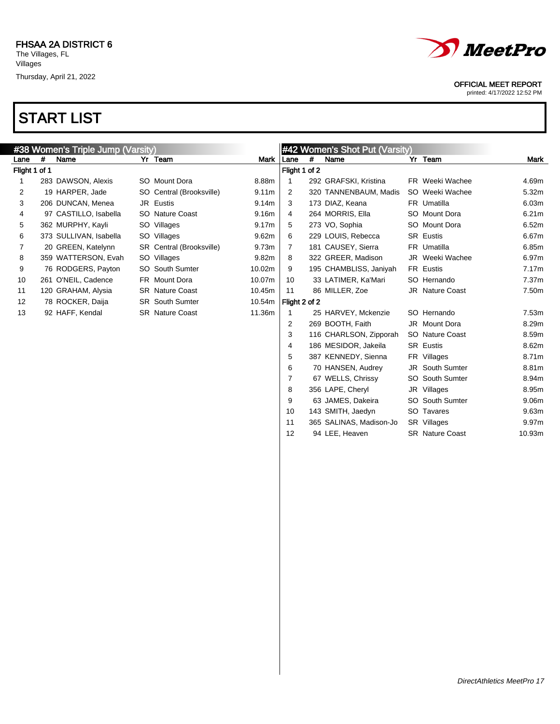



9 63 JAMES, Dakeira SO South Sumter 9.06m 10 143 SMITH, Jaedyn SO Tavares 9.63m 11 365 SALINAS, Madison-Jo SR Villages 9.97m 12 94 LEE, Heaven SR Nature Coast 10.93m

#### OFFICIAL MEET REPORT

printed: 4/17/2022 12:52 PM

| #38 Women's Triple Jump (Varsity) |   |                        |  |                          |                   | #42 Women's Shot Put (Varsity) |   |                        |  |                        |                   |
|-----------------------------------|---|------------------------|--|--------------------------|-------------------|--------------------------------|---|------------------------|--|------------------------|-------------------|
| Lane                              | # | Name                   |  | Yr Team                  | Mark              | Lane                           | # | Name                   |  | Yr Team                | Mark              |
| Flight 1 of 1                     |   |                        |  |                          |                   | Flight 1 of 2                  |   |                        |  |                        |                   |
|                                   |   | 283 DAWSON, Alexis     |  | SO Mount Dora            | 8.88m             |                                |   | 292 GRAFSKI, Kristina  |  | FR Weeki Wachee        | 4.69m             |
| 2                                 |   | 19 HARPER, Jade        |  | SO Central (Brooksville) | 9.11 <sub>m</sub> | 2                              |   | 320 TANNENBAUM, Madis  |  | SO Weeki Wachee        | 5.32m             |
| 3                                 |   | 206 DUNCAN, Menea      |  | JR Eustis                | 9.14m             | 3                              |   | 173 DIAZ, Keana        |  | FR Umatilla            | 6.03m             |
| 4                                 |   | 97 CASTILLO, Isabella  |  | SO Nature Coast          | 9.16m             | 4                              |   | 264 MORRIS, Ella       |  | SO Mount Dora          | 6.21m             |
| 5                                 |   | 362 MURPHY, Kayli      |  | SO Villages              | 9.17 <sub>m</sub> | 5                              |   | 273 VO, Sophia         |  | SO Mount Dora          | 6.52m             |
| 6                                 |   | 373 SULLIVAN, Isabella |  | SO Villages              | 9.62m             | 6                              |   | 229 LOUIS, Rebecca     |  | <b>SR Eustis</b>       | 6.67m             |
| 7                                 |   | 20 GREEN, Katelynn     |  | SR Central (Brooksville) | 9.73m             |                                |   | 181 CAUSEY, Sierra     |  | FR Umatilla            | 6.85m             |
| 8                                 |   | 359 WATTERSON, Evah    |  | SO Villages              | 9.82m             | 8                              |   | 322 GREER, Madison     |  | JR Weeki Wachee        | 6.97m             |
| 9                                 |   | 76 RODGERS, Payton     |  | SO South Sumter          | 10.02m            | 9                              |   | 195 CHAMBLISS, Janiyah |  | FR Eustis              | 7.17m             |
| 10                                |   | 261 O'NEIL, Cadence    |  | FR Mount Dora            | 10.07m            | 10                             |   | 33 LATIMER, Ka'Mari    |  | SO Hernando            | 7.37 <sub>m</sub> |
| 11                                |   | 120 GRAHAM, Alysia     |  | SR Nature Coast          | 10.45m            | 11                             |   | 86 MILLER, Zoe         |  | <b>JR</b> Nature Coast | 7.50m             |
| $12 \overline{ }$                 |   | 78 ROCKER, Daija       |  | <b>SR</b> South Sumter   | 10.54m            | Flight 2 of 2                  |   |                        |  |                        |                   |
| 13                                |   | 92 HAFF, Kendal        |  | <b>SR</b> Nature Coast   | 11.36m            |                                |   | 25 HARVEY, Mckenzie    |  | SO Hernando            | 7.53m             |
|                                   |   |                        |  |                          |                   | 2                              |   | 269 BOOTH, Faith       |  | JR Mount Dora          | 8.29m             |
|                                   |   |                        |  |                          |                   | 3                              |   | 116 CHARLSON, Zipporah |  | SO Nature Coast        | 8.59m             |
|                                   |   |                        |  |                          |                   | 4                              |   | 186 MESIDOR, Jakeila   |  | <b>SR Eustis</b>       | 8.62m             |
|                                   |   |                        |  |                          |                   | 5                              |   | 387 KENNEDY, Sienna    |  | FR Villages            | 8.71m             |
|                                   |   |                        |  |                          |                   | 6                              |   | 70 HANSEN, Audrey      |  | <b>JR</b> South Sumter | 8.81m             |
|                                   |   |                        |  |                          |                   |                                |   | 67 WELLS, Chrissy      |  | <b>SO</b> South Sumter | 8.94m             |
|                                   |   |                        |  |                          |                   | 8                              |   | 356 LAPE, Cheryl       |  | JR Villages            | 8.95m             |